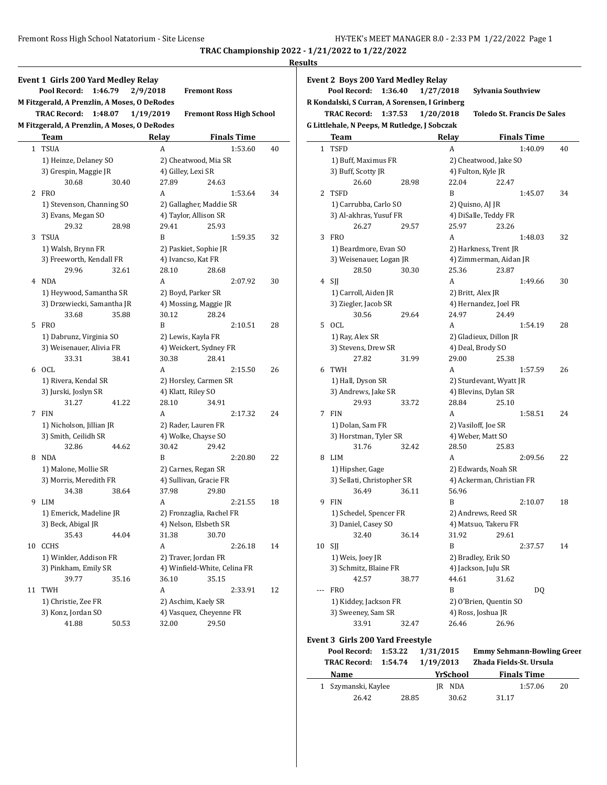|              |                                              |         |                    |                                 |    | <b>Results</b> |
|--------------|----------------------------------------------|---------|--------------------|---------------------------------|----|----------------|
|              | <b>Event 1 Girls 200 Yard Medley Relay</b>   |         |                    |                                 |    | Eve            |
|              | Pool Record:                                 | 1:46.79 | 2/9/2018           | <b>Fremont Ross</b>             |    |                |
|              | M Fitzgerald, A Prenzlin, A Moses, O DeRodes |         |                    |                                 |    | R K            |
|              | <b>TRAC Record:</b>                          | 1:48.07 | 1/19/2019          | <b>Fremont Ross High School</b> |    |                |
|              | M Fitzgerald, A Prenzlin, A Moses, O DeRodes |         |                    |                                 |    | G Li           |
|              | Team                                         |         | Relay              | <b>Finals Time</b>              |    |                |
| $\mathbf{1}$ | <b>TSUA</b>                                  |         | A                  | 1:53.60                         | 40 |                |
|              | 1) Heinze, Delaney SO                        |         |                    | 2) Cheatwood, Mia SR            |    |                |
|              | 3) Grespin, Maggie JR                        |         | 4) Gilley, Lexi SR |                                 |    |                |
|              | 30.68                                        | 30.40   | 27.89              | 24.63                           |    |                |
|              | 2 FRO                                        |         | A                  | 1:53.64                         | 34 |                |
|              | 1) Stevenson, Channing SO                    |         |                    | 2) Gallagher, Maddie SR         |    |                |
|              | 3) Evans, Megan SO                           |         |                    | 4) Taylor, Allison SR           |    |                |
|              | 29.32                                        | 28.98   | 29.41              | 25.93                           |    |                |
| 3            | TSUA                                         |         | B                  | 1:59.35                         | 32 |                |
|              | 1) Walsh, Brynn FR                           |         |                    | 2) Paskiet, Sophie JR           |    |                |
|              | 3) Freeworth, Kendall FR                     |         | 4) Ivancso, Kat FR |                                 |    |                |
|              | 29.96                                        | 32.61   | 28.10              | 28.68                           |    |                |
|              | 4 NDA                                        |         | A                  | 2:07.92                         | 30 |                |
|              | 1) Heywood, Samantha SR                      |         | 2) Boyd, Parker SR |                                 |    |                |
|              | 3) Drzewiecki, Samantha JR                   |         |                    | 4) Mossing, Maggie JR           |    |                |
|              | 33.68                                        | 35.88   | 30.12              | 28.24                           |    |                |
| 5            | <b>FRO</b>                                   |         | B                  | 2:10.51                         | 28 |                |
|              | 1) Dabrunz, Virginia SO                      |         | 2) Lewis, Kayla FR |                                 |    |                |
|              | 3) Weisenauer, Alivia FR                     |         |                    | 4) Weickert, Sydney FR          |    |                |
|              | 33.31                                        | 38.41   | 30.38              | 28.41                           |    |                |
| 6            | OCL                                          |         | A                  | 2:15.50                         | 26 |                |
|              | 1) Rivera, Kendal SR                         |         |                    | 2) Horsley, Carmen SR           |    |                |
|              | 3) Jurski, Joslyn SR                         |         | 4) Klatt, Riley SO |                                 |    |                |
|              | 31.27                                        | 41.22   | 28.10              | 34.91                           |    |                |
| 7            | FIN                                          |         | A                  | 2:17.32                         | 24 |                |
|              | 1) Nicholson, Jillian JR                     |         |                    | 2) Rader, Lauren FR             |    |                |
|              | 3) Smith, Ceilidh SR                         |         |                    | 4) Wolke, Chayse SO             |    |                |
|              | 32.86                                        | 44.62   | 30.42              | 29.42                           |    |                |
|              | 8 NDA                                        |         | B                  | 2:20.80                         | 22 |                |
|              | 1) Malone, Mollie SR                         |         |                    | 2) Carnes, Regan SR             |    |                |
|              | 3) Morris, Meredith FR                       |         |                    | 4) Sullivan, Gracie FR          |    |                |
|              | 34.38                                        | 38.64   | 37.98              | 29.80                           |    |                |
|              | 9 LIM                                        |         | A                  | 2:21.55                         | 18 |                |
|              | 1) Emerick, Madeline JR                      |         |                    | 2) Fronzaglia, Rachel FR        |    |                |
|              | 3) Beck, Abigal JR                           |         |                    | 4) Nelson, Elsbeth SR           |    |                |
|              | 35.43                                        | 44.04   | 31.38              | 30.70                           |    |                |
| 10           | <b>CCHS</b>                                  |         | A                  | 2:26.18                         | 14 |                |
|              | 1) Winkler, Addison FR                       |         |                    | 2) Traver, Jordan FR            |    |                |
|              | 3) Pinkham, Emily SR                         |         |                    | 4) Winfield-White, Celina FR    |    |                |
|              | 39.77                                        | 35.16   | 36.10              | 35.15                           |    |                |
| 11           | TWH                                          |         | A                  | 2:33.91                         | 12 |                |
|              | 1) Christie, Zee FR                          |         |                    | 2) Aschim, Kaely SR             |    |                |
|              | 3) Konz, Jordan SO                           |         |                    | 4) Vasquez, Cheyenne FR         |    |                |
|              | 41.88                                        | 50.53   | 32.00              | 29.50                           |    |                |

|              | Pool Record:<br>1:36.40<br>R Kondalski, S Curran, A Sorensen, I Grinberg |       | 1/27/2018 | Sylvania Southview          |                    |    |
|--------------|--------------------------------------------------------------------------|-------|-----------|-----------------------------|--------------------|----|
|              | <b>TRAC Record:</b><br>1:37.53                                           |       | 1/20/2018 | Toledo St. Francis De Sales |                    |    |
|              | G Littlehale, N Peeps, M Rutledge, J Sobczak                             |       |           |                             |                    |    |
|              | <b>Team</b>                                                              |       | Relay     |                             | <b>Finals Time</b> |    |
| $\mathbf{1}$ | <b>TSFD</b>                                                              |       | A         |                             | 1:40.09            | 40 |
|              | 1) Buff, Maximus FR                                                      |       |           | 2) Cheatwood, Jake SO       |                    |    |
|              | 3) Buff, Scotty JR                                                       |       |           | 4) Fulton, Kyle JR          |                    |    |
|              | 26.60                                                                    | 28.98 | 22.04     | 22.47                       |                    |    |
| 2            | <b>TSFD</b>                                                              |       | B         |                             | 1:45.07            | 34 |
|              | 1) Carrubba, Carlo SO                                                    |       |           | 2) Quisno, AJ JR            |                    |    |
|              | 3) Al-akhras, Yusuf FR                                                   |       |           | 4) DiSalle, Teddy FR        |                    |    |
|              | 26.27                                                                    | 29.57 | 25.97     | 23.26                       |                    |    |
| 3            | <b>FRO</b>                                                               |       | A         |                             | 1:48.03            | 32 |
|              | 1) Beardmore, Evan SO                                                    |       |           | 2) Harkness, Trent JR       |                    |    |
|              | 3) Weisenauer, Logan JR                                                  |       |           | 4) Zimmerman, Aidan JR      |                    |    |
|              | 28.50                                                                    | 30.30 | 25.36     | 23.87                       |                    |    |
| 4            | SJJ                                                                      |       | A         |                             | 1:49.66            | 30 |
|              | 1) Carroll, Aiden JR                                                     |       |           | 2) Britt, Alex JR           |                    |    |
|              | 3) Ziegler, Jacob SR                                                     |       |           | 4) Hernandez, Joel FR       |                    |    |
|              | 30.56                                                                    | 29.64 | 24.97     | 24.49                       |                    |    |
| 5            | OCL                                                                      |       | A         |                             | 1:54.19            | 28 |
|              | 1) Ray, Alex SR                                                          |       |           | 2) Gladieux, Dillon JR      |                    |    |
|              | 3) Stevens, Drew SR                                                      |       |           | 4) Deal, Brody SO           |                    |    |
|              | 27.82                                                                    | 31.99 | 29.00     | 25.38                       |                    |    |
| 6            | <b>TWH</b>                                                               |       | A         |                             | 1:57.59            | 26 |
|              | 1) Hall, Dyson SR                                                        |       |           | 2) Sturdevant, Wyatt JR     |                    |    |
|              | 3) Andrews, Jake SR                                                      |       |           | 4) Blevins, Dylan SR        |                    |    |
|              | 29.93                                                                    | 33.72 | 28.84     | 25.10                       |                    |    |
| 7            | <b>FIN</b>                                                               |       | A         |                             | 1:58.51            | 24 |
|              | 1) Dolan, Sam FR                                                         |       |           | 2) Vasiloff, Joe SR         |                    |    |
|              | 3) Horstman, Tyler SR                                                    |       |           | 4) Weber, Matt SO           |                    |    |
|              | 31.76                                                                    | 32.42 | 28.50     | 25.83                       |                    |    |
| 8            | LIM                                                                      |       | A         |                             | 2:09.56            | 22 |
|              | 1) Hipsher, Gage                                                         |       |           | 2) Edwards, Noah SR         |                    |    |
|              | 3) Sellati, Christopher SR                                               |       |           | 4) Ackerman, Christian FR   |                    |    |
|              | 36.49                                                                    | 36.11 | 56.96     |                             |                    |    |
| 9            | <b>FIN</b>                                                               |       | B         |                             | 2:10.07            | 18 |
|              | 1) Schedel, Spencer FR                                                   |       |           | 2) Andrews, Reed SR         |                    |    |
|              | 3) Daniel, Casey SO                                                      |       |           | 4) Matsuo, Takeru FR        |                    |    |
|              | 32.40                                                                    | 36.14 | 31.92     | 29.61                       |                    |    |
| 10           | SJJ                                                                      |       | B         |                             | 2:37.57            | 14 |
|              | 1) Weis, Joey JR                                                         |       |           | 2) Bradley, Erik SO         |                    |    |
|              | 3) Schmitz, Blaine FR                                                    |       |           | 4) Jackson, JuJu SR         |                    |    |
|              | 42.57                                                                    | 38.77 | 44.61     | 31.62                       |                    |    |
| ---          | <b>FRO</b>                                                               |       | B         |                             | DQ                 |    |
|              | 1) Kiddey, Jackson FR                                                    |       |           | 2) O'Brien, Quentin SO      |                    |    |
|              | 3) Sweeney, Sam SR                                                       |       |           | 4) Ross, Joshua JR          |                    |    |
|              | 33.91                                                                    | 32.47 | 26.46     | 26.96                       |                    |    |

| TRAC Record: 1:54.74 1/19/2013 |       |          | Zhada Fields-St. Ursula |    |
|--------------------------------|-------|----------|-------------------------|----|
| Name                           |       | YrSchool | <b>Finals Time</b>      |    |
| 1 Szymanski, Kaylee            |       | IR NDA   | 1:57.06                 | 20 |
| 26.42                          | 28.85 | 30.62    | 31.17                   |    |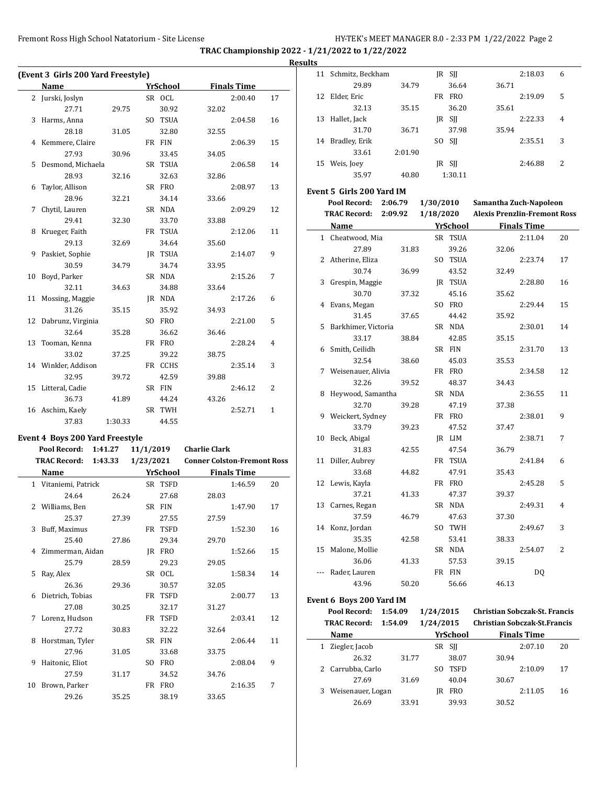|    | (Event 3 Girls 200 Yard Freestyle)     |         |           |                 |                      |                    |                |
|----|----------------------------------------|---------|-----------|-----------------|----------------------|--------------------|----------------|
|    | Name                                   |         |           | <b>YrSchool</b> |                      | <b>Finals Time</b> |                |
|    | 2 Jurski, Joslyn                       |         |           | SR OCL          |                      | 2:00.40            | 17             |
|    | 27.71                                  | 29.75   |           | 30.92           | 32.02                |                    |                |
| 3  | Harms, Anna                            |         |           | SO TSUA         |                      | 2:04.58            | 16             |
|    | 28.18                                  | 31.05   |           | 32.80           | 32.55                |                    |                |
| 4  | Kemmere, Claire                        |         |           | FR FIN          |                      | 2:06.39            | 15             |
|    | 27.93                                  | 30.96   |           | 33.45           | 34.05                |                    |                |
| 5  | Desmond, Michaela                      |         |           | SR TSUA         |                      | 2:06.58            | 14             |
|    | 28.93                                  | 32.16   |           | 32.63           | 32.86                |                    |                |
| 6  | Taylor, Allison                        |         |           | SR FRO          |                      | 2:08.97            | 13             |
|    | 28.96                                  | 32.21   |           | 34.14           | 33.66                |                    |                |
| 7  | Chytil, Lauren                         |         |           | SR NDA          |                      | 2:09.29            | 12             |
|    | 29.41                                  | 32.30   |           | 33.70           | 33.88                |                    |                |
| 8  | Krueger, Faith                         |         |           | FR TSUA         |                      | 2:12.06            | 11             |
|    | 29.13                                  | 32.69   |           | 34.64           | 35.60                |                    |                |
| 9  | Paskiet, Sophie                        |         |           | JR TSUA         |                      | 2:14.07            | 9              |
|    | 30.59                                  | 34.79   |           | 34.74           | 33.95                |                    |                |
| 10 | Boyd, Parker                           |         |           | SR NDA          |                      | 2:15.26            | 7              |
|    | 32.11                                  | 34.63   |           | 34.88           | 33.64                |                    |                |
| 11 | Mossing, Maggie                        |         |           | JR NDA          |                      | 2:17.26            | 6              |
|    | 31.26                                  | 35.15   |           | 35.92           | 34.93                |                    |                |
| 12 | Dabrunz, Virginia                      |         |           | SO FRO          |                      | 2:21.00            | 5              |
|    | 32.64                                  | 35.28   |           | 36.62           | 36.46                |                    |                |
| 13 | Tooman, Kenna                          |         |           | FR FRO          |                      | 2:28.24            | 4              |
|    | 33.02                                  | 37.25   |           | 39.22           | 38.75                |                    |                |
|    | 14 Winkler, Addison                    |         |           | FR CCHS         |                      | 2:35.14            | 3              |
|    | 32.95                                  | 39.72   |           | 42.59           | 39.88                |                    |                |
| 15 | Litteral, Cadie                        |         |           | SR FIN          |                      | 2:46.12            | $\overline{2}$ |
|    | 36.73                                  | 41.89   |           | 44.24           | 43.26                |                    |                |
|    | 16 Aschim, Kaely                       |         |           | SR TWH          |                      | 2:52.71            | $\mathbf{1}$   |
|    | 37.83                                  | 1:30.33 |           | 44.55           |                      |                    |                |
|    | <b>Event 4 Boys 200 Yard Freestyle</b> |         |           |                 |                      |                    |                |
|    | Pool Record:                           | 1:41.27 | 11/1/2019 |                 | <b>Charlie Clark</b> |                    |                |

|    | <b>TRAC Record:</b><br>1:43.33 |       | 1/23/2021      |             | <b>Conner Colston-Fremont Ross</b> |                    |    |
|----|--------------------------------|-------|----------------|-------------|------------------------------------|--------------------|----|
|    | Name                           |       |                | YrSchool    |                                    | <b>Finals Time</b> |    |
|    | 1 Vitaniemi, Patrick           |       |                | SR TSFD     |                                    | 1:46.59            | 20 |
|    | 24.64                          | 26.24 |                | 27.68       | 28.03                              |                    |    |
|    | 2 Williams, Ben                |       |                | SR FIN      |                                    | 1:47.90            | 17 |
|    | 25.37                          | 27.39 |                | 27.55       | 27.59                              |                    |    |
| 3  | Buff, Maximus                  |       |                | FR TSFD     |                                    | 1:52.30            | 16 |
|    | 25.40                          | 27.86 |                | 29.34       | 29.70                              |                    |    |
| 4  | Zimmerman, Aidan               |       | IR             | <b>FRO</b>  |                                    | 1:52.66            | 15 |
|    | 25.79                          | 28.59 |                | 29.23       | 29.05                              |                    |    |
| 5. | Ray, Alex                      |       |                | SR OCL      |                                    | 1:58.34            | 14 |
|    | 26.36                          | 29.36 |                | 30.57       | 32.05                              |                    |    |
| 6  | Dietrich, Tobias               |       | FR             | <b>TSFD</b> |                                    | 2:00.77            | 13 |
|    | 27.08                          | 30.25 |                | 32.17       | 31.27                              |                    |    |
| 7  | Lorenz, Hudson                 |       | FR             | <b>TSFD</b> |                                    | 2:03.41            | 12 |
|    | 27.72                          | 30.83 |                | 32.22       | 32.64                              |                    |    |
| 8  | Horstman, Tyler                |       |                | SR FIN      |                                    | 2:06.44            | 11 |
|    | 27.96                          | 31.05 |                | 33.68       | 33.75                              |                    |    |
| 9  | Haitonic, Eliot                |       | S <sub>O</sub> | <b>FRO</b>  |                                    | 2:08.04            | 9  |
|    | 27.59                          | 31.17 |                | 34.52       | 34.76                              |                    |    |
| 10 | Brown, Parker                  |       | FR             | <b>FRO</b>  |                                    | 2:16.35            | 7  |
|    | 29.26                          | 35.25 |                | 38.19       | 33.65                              |                    |    |

| <b>Results</b>            |                     |         |           |            |                                     |                    |   |  |  |  |  |
|---------------------------|---------------------|---------|-----------|------------|-------------------------------------|--------------------|---|--|--|--|--|
|                           | 11 Schmitz, Beckham |         |           | $IR$ SII   |                                     | 2:18.03            | 6 |  |  |  |  |
|                           | 29.89               | 34.79   |           | 36.64      | 36.71                               |                    |   |  |  |  |  |
| 12                        | Elder, Eric         |         | FR        | <b>FRO</b> |                                     | 2:19.09            | 5 |  |  |  |  |
|                           | 32.13               | 35.15   |           | 36.20      | 35.61                               |                    |   |  |  |  |  |
| 13                        | Hallet, Jack        |         |           | $IR$ SII   |                                     | 2:22.33            | 4 |  |  |  |  |
|                           | 31.70               | 36.71   |           | 37.98      | 35.94                               |                    |   |  |  |  |  |
| 14                        | Bradley, Erik       |         | SO.       | <b>SII</b> |                                     | 2:35.51            | 3 |  |  |  |  |
|                           | 33.61               | 2:01.90 |           |            |                                     |                    |   |  |  |  |  |
| 15                        | Weis, Joey          |         |           | IR SII     |                                     | 2:46.88            | 2 |  |  |  |  |
|                           | 35.97               | 40.80   |           | 1:30.11    |                                     |                    |   |  |  |  |  |
| Event 5 Girls 200 Yard IM |                     |         |           |            |                                     |                    |   |  |  |  |  |
|                           | Pool Record:        | 2:06.79 | 1/30/2010 |            | Samantha Zuch-Napoleon              |                    |   |  |  |  |  |
|                           | <b>TRAC Record:</b> | 2:09.92 | 1/18/2020 |            | <b>Alexis Prenzlin-Fremont Ross</b> |                    |   |  |  |  |  |
|                           | Name                |         |           | YrSchool   |                                     | <b>Finals Time</b> |   |  |  |  |  |
|                           |                     |         |           |            |                                     |                    |   |  |  |  |  |

|    | 1 Cheatwood, Mia    |       | SR TSUA        |       | 2:11.04 | 20             |
|----|---------------------|-------|----------------|-------|---------|----------------|
|    | 27.89               | 31.83 | 39.26          | 32.06 |         |                |
| 2  | Atherine, Eliza     |       | SO TSUA        |       | 2:23.74 | 17             |
|    | 30.74               | 36.99 | 43.52          | 32.49 |         |                |
| 3  | Grespin, Maggie     |       | <b>IR TSUA</b> |       | 2:28.80 | 16             |
|    | 30.70               | 37.32 | 45.16          | 35.62 |         |                |
| 4  | Evans, Megan        |       | SO FRO         |       | 2:29.44 | 15             |
|    | 31.45               | 37.65 | 44.42          | 35.92 |         |                |
| 5. | Barkhimer, Victoria |       | SR NDA         |       | 2:30.01 | 14             |
|    | 33.17               | 38.84 | 42.85          | 35.15 |         |                |
| 6  | Smith, Ceilidh      |       | SR FIN         |       | 2:31.70 | 13             |
|    | 32.54               | 38.60 | 45.03          | 35.53 |         |                |
| 7  | Weisenauer, Alivia  |       | FR FRO         |       | 2:34.58 | 12             |
|    | 32.26               | 39.52 | 48.37          | 34.43 |         |                |
| 8  | Heywood, Samantha   |       | SR NDA         |       | 2:36.55 | 11             |
|    | 32.70               | 39.28 | 47.19          | 37.38 |         |                |
| 9  | Weickert, Sydney    |       | FR FRO         |       | 2:38.01 | 9              |
|    | 33.79               | 39.23 | 47.52          | 37.47 |         |                |
| 10 | Beck, Abigal        |       | IR LIM         |       | 2:38.71 | 7              |
|    | 31.83               | 42.55 | 47.54          | 36.79 |         |                |
|    | 11 Diller, Aubrey   |       | FR TSUA        |       | 2:41.84 | 6              |
|    | 33.68               | 44.82 | 47.91          | 35.43 |         |                |
|    | 12 Lewis, Kayla     |       | FR FRO         |       | 2:45.28 | 5              |
|    | 37.21               | 41.33 | 47.37          | 39.37 |         |                |
|    | 13 Carnes, Regan    |       | SR NDA         |       | 2:49.31 | $\overline{4}$ |
|    | 37.59               | 46.79 | 47.63          | 37.30 |         |                |
|    | 14 Konz, Jordan     |       | SO TWH         |       | 2:49.67 | 3              |
|    | 35.35               | 42.58 | 53.41          | 38.33 |         |                |
|    | 15 Malone, Mollie   |       | SR NDA         |       | 2:54.07 | 2              |
|    | 36.06               | 41.33 | 57.53          | 39.15 |         |                |
|    | Rader, Lauren       |       | FR FIN         |       | DQ      |                |
|    | 43.96               | 50.20 | 56.66          | 46.13 |         |                |

## **Event 6 Boys 200 Yard IM**

|   | Pool Record:        | 1:54.09 | 1/24/2015 |            | <b>Christian Sobczak-St. Francis</b> |                    |    |
|---|---------------------|---------|-----------|------------|--------------------------------------|--------------------|----|
|   | <b>TRAC Record:</b> | 1:54.09 | 1/24/2015 |            | <b>Christian Sobczak-St.Francis</b>  |                    |    |
|   | Name                |         |           | YrSchool   |                                      | <b>Finals Time</b> |    |
| 1 | Ziegler, Jacob      |         |           | SR SII     |                                      | 2:07.10            | 20 |
|   | 26.32               | 31.77   |           | 38.07      | 30.94                                |                    |    |
|   | 2 Carrubba, Carlo   |         | SO.       | TSFD       |                                      | 2:10.09            | 17 |
|   | 27.69               | 31.69   |           | 40.04      | 30.67                                |                    |    |
| 3 | Weisenauer, Logan   |         | IR        | <b>FRO</b> |                                      | 2:11.05            | 16 |
|   | 26.69               | 33.91   |           | 39.93      | 30.52                                |                    |    |
|   |                     |         |           |            |                                      |                    |    |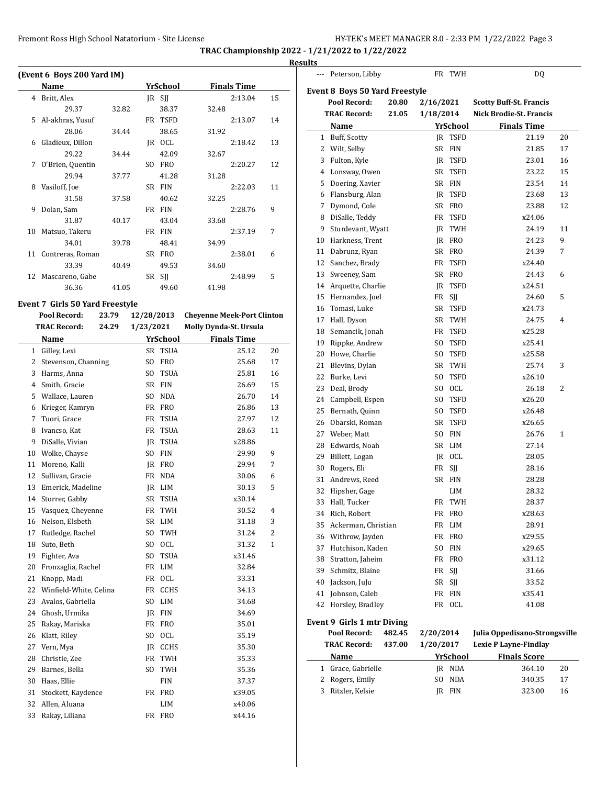$\overline{a}$ 

**TRAC Championship 2022 - 1/21/2022 to 1/22/2022**

#### **Results**

|    | (Event 6 Boys 200 Yard IM) |       |     |             |       |                    |    |  |  |  |  |  |
|----|----------------------------|-------|-----|-------------|-------|--------------------|----|--|--|--|--|--|
|    | Name                       |       |     | YrSchool    |       | <b>Finals Time</b> |    |  |  |  |  |  |
| 4  | Britt, Alex                |       |     | $IR$ SII    |       | 2:13.04            | 15 |  |  |  |  |  |
|    | 29.37                      | 32.82 |     | 38.37       | 32.48 |                    |    |  |  |  |  |  |
| 5  | Al-akhras, Yusuf           |       | FR  | <b>TSFD</b> |       | 2:13.07            | 14 |  |  |  |  |  |
|    | 28.06                      | 34.44 |     | 38.65       | 31.92 |                    |    |  |  |  |  |  |
| 6  | Gladieux, Dillon           |       | IR  | <b>OCL</b>  |       | 2:18.42            | 13 |  |  |  |  |  |
|    | 29.22                      | 34.44 |     | 42.09       | 32.67 |                    |    |  |  |  |  |  |
| 7  | O'Brien, Quentin           |       | SO. | <b>FRO</b>  |       | 2:20.27            | 12 |  |  |  |  |  |
|    | 29.94                      | 37.77 |     | 41.28       | 31.28 |                    |    |  |  |  |  |  |
| 8  | Vasiloff, Joe              |       | SR  | <b>FIN</b>  |       | 2:22.03            | 11 |  |  |  |  |  |
|    | 31.58                      | 37.58 |     | 40.62       | 32.25 |                    |    |  |  |  |  |  |
| 9  | Dolan, Sam                 |       | FR  | <b>FIN</b>  |       | 2:28.76            | 9  |  |  |  |  |  |
|    | 31.87                      | 40.17 |     | 43.04       | 33.68 |                    |    |  |  |  |  |  |
| 10 | Matsuo, Takeru             |       | FR  | <b>FIN</b>  |       | 2:37.19            | 7  |  |  |  |  |  |
|    | 34.01                      | 39.78 |     | 48.41       | 34.99 |                    |    |  |  |  |  |  |
| 11 | Contreras, Roman           |       | SR  | <b>FRO</b>  |       | 2:38.01            | 6  |  |  |  |  |  |
|    | 33.39                      | 40.49 |     | 49.53       | 34.60 |                    |    |  |  |  |  |  |
| 12 | Mascareno, Gabe            |       | SR  | SII         |       | 2:48.99            | 5  |  |  |  |  |  |
|    | 36.36                      | 41.05 |     | 49.60       | 41.98 |                    |    |  |  |  |  |  |

## **Event 7 Girls 50 Yard Freestyle**

|              | Pool Record:           | 23.79 | 12/28/2013 |                 | <b>Cheyenne Meek-Port Clinton</b> |                |
|--------------|------------------------|-------|------------|-----------------|-----------------------------------|----------------|
|              | <b>TRAC Record:</b>    | 24.29 | 1/23/2021  |                 | Molly Dynda-St. Ursula            |                |
|              | Name                   |       |            | <b>YrSchool</b> | <b>Finals Time</b>                |                |
| $\mathbf{1}$ | Gilley, Lexi           |       |            | SR TSUA         | 25.12                             | 20             |
| 2            | Stevenson, Channing    |       | SO         | FRO             | 25.68                             | 17             |
| 3            | Harms, Anna            |       | SO.        | <b>TSUA</b>     | 25.81                             | 16             |
| 4            | Smith, Gracie          |       |            | SR FIN          | 26.69                             | 15             |
| 5            | Wallace, Lauren        |       | SO.        | NDA             | 26.70                             | 14             |
| 6            | Krieger, Kamryn        |       | FR         | FRO             | 26.86                             | 13             |
| 7            | Tuori, Grace           |       | FR         | <b>TSUA</b>     | 27.97                             | 12             |
| 8            | Ivancso, Kat           |       | FR         | <b>TSUA</b>     | 28.63                             | 11             |
| 9            | DiSalle, Vivian        |       | IR         | <b>TSUA</b>     | x28.86                            |                |
| 10           | Wolke, Chayse          |       | SO.        | <b>FIN</b>      | 29.90                             | 9              |
| 11           | Moreno, Kalli          |       | JR.        | <b>FRO</b>      | 29.94                             | 7              |
| 12           | Sullivan, Gracie       |       | FR         | <b>NDA</b>      | 30.06                             | 6              |
| 13           | Emerick, Madeline      |       |            | JR LIM          | 30.13                             | 5              |
| 14           | Storrer, Gabby         |       |            | SR TSUA         | x30.14                            |                |
| 15           | Vasquez, Cheyenne      |       | FR         | TWH             | 30.52                             | $\overline{4}$ |
| 16           | Nelson, Elsbeth        |       |            | SR LIM          | 31.18                             | 3              |
| 17           | Rutledge, Rachel       |       | SO.        | TWH             | 31.24                             | $\overline{c}$ |
| 18           | Suto, Beth             |       | SO.        | <b>OCL</b>      | 31.32                             | 1              |
| 19           | Fighter, Ava           |       | SO.        | <b>TSUA</b>     | x31.46                            |                |
| 20           | Fronzaglia, Rachel     |       |            | FR LIM          | 32.84                             |                |
| 21           | Knopp, Madi            |       |            | FR OCL          | 33.31                             |                |
| 22           | Winfield-White, Celina |       |            | FR CCHS         | 34.13                             |                |
| 23           | Avalos, Gabriella      |       |            | SO LIM          | 34.68                             |                |
| 24           | Ghosh, Urmika          |       |            | JR FIN          | 34.69                             |                |
| 25           | Rakay, Mariska         |       | FR         | <b>FRO</b>      | 35.01                             |                |
| 26           | Klatt, Riley           |       | SO.        | <b>OCL</b>      | 35.19                             |                |
| 27           | Vern, Mya              |       |            | IR CCHS         | 35.30                             |                |
| 28           | Christie, Zee          |       | FR         | TWH             | 35.33                             |                |
| 29           | Barnes, Bella          |       | SO.        | <b>TWH</b>      | 35.36                             |                |
| 30           | Haas, Ellie            |       |            | FIN             | 37.37                             |                |
| 31           | Stockett, Kaydence     |       |            | FR FRO          | x39.05                            |                |
| 32           | Allen, Aluana          |       |            | LIM             | x40.06                            |                |
| 33           | Rakay, Liliana         |       |            | FR FRO          | x44.16                            |                |

| ---    | Peterson, Libby                       |        |           | FR TWH                     | DQ                             |          |
|--------|---------------------------------------|--------|-----------|----------------------------|--------------------------------|----------|
|        | <b>Event 8 Boys 50 Yard Freestyle</b> |        |           |                            |                                |          |
|        | Pool Record:                          | 20.80  | 2/16/2021 |                            | <b>Scotty Buff-St. Francis</b> |          |
|        | <b>TRAC Record:</b>                   | 21.05  | 1/18/2014 |                            | Nick Brodie-St. Francis        |          |
|        |                                       |        |           |                            | <b>Finals Time</b>             |          |
|        | Name<br>1 Buff, Scotty                |        |           | YrSchool<br><b>TSFD</b>    | 21.19                          | 20       |
|        |                                       |        | JR<br>SR  | <b>FIN</b>                 |                                | 17       |
| 2      | Wilt, Selby                           |        |           |                            | 21.85                          |          |
| 3<br>4 | Fulton, Kyle                          |        | JR<br>SR  | <b>TSFD</b><br><b>TSFD</b> | 23.01<br>23.22                 | 16<br>15 |
|        | Lonsway, Owen                         |        | SR        | <b>FIN</b>                 | 23.54                          | 14       |
| 5      | Doering, Xavier                       |        |           | <b>TSFD</b>                | 23.68                          | 13       |
| 6<br>7 | Flansburg, Alan<br>Dymond, Cole       |        | JR<br>SR  | <b>FRO</b>                 |                                | 12       |
|        |                                       |        | FR        | <b>TSFD</b>                | 23.88                          |          |
| 8      | DiSalle, Teddy<br>Sturdevant, Wyatt   |        |           |                            | x24.06                         | 11       |
| 9      |                                       |        | JR        | TWH                        | 24.19                          | 9        |
| 10     | Harkness, Trent                       |        | JR        | <b>FRO</b>                 | 24.23                          |          |
| 11     | Dabrunz, Ryan                         |        | SR        | <b>FRO</b>                 | 24.39                          | 7        |
|        | 12 Sanchez, Brady                     |        | FR        | <b>TSFD</b>                | x24.40                         |          |
|        | 13 Sweeney, Sam                       |        | SR        | <b>FRO</b>                 | 24.43                          | 6        |
|        | 14 Arquette, Charlie                  |        | JR        | <b>TSFD</b>                | x24.51                         |          |
| 15     | Hernandez, Joel                       |        | FR        | SJJ                        | 24.60                          | 5        |
|        | 16 Tomasi, Luke                       |        | SR        | <b>TSFD</b>                | x24.73                         |          |
| 17     | Hall, Dyson                           |        | SR        | TWH                        | 24.75                          | 4        |
|        | 18 Semancik, Jonah                    |        | FR        | TSFD                       | x25.28                         |          |
|        | 19 Rippke, Andrew                     |        | SO.       | <b>TSFD</b>                | x25.41                         |          |
| 20     | Howe, Charlie                         |        | SO.       | <b>TSFD</b>                | x25.58                         |          |
| 21     | Blevins, Dylan                        |        | SR        | TWH                        | 25.74                          | 3        |
| 22     | Burke, Levi                           |        | SO.       | <b>TSFD</b>                | x26.10                         |          |
| 23     | Deal, Brody                           |        | SO.       | OCL                        | 26.18                          | 2        |
| 24     | Campbell, Espen                       |        | SO.       | TSFD                       | x26.20                         |          |
| 25     | Bernath, Quinn                        |        | SO.       | <b>TSFD</b>                | x26.48                         |          |
| 26     | Obarski, Roman                        |        | SR        | <b>TSFD</b>                | x26.65                         |          |
| 27     | Weber, Matt                           |        | SO.       | <b>FIN</b>                 | 26.76                          | 1        |
| 28     | Edwards, Noah                         |        | SR        | <b>LIM</b>                 | 27.14                          |          |
| 29     | Billett, Logan                        |        | JR        | OCL                        | 28.05                          |          |
| 30     | Rogers, Eli                           |        | FR        | SJJ                        | 28.16                          |          |
| 31     | Andrews, Reed                         |        | SR        | <b>FIN</b>                 | 28.28                          |          |
| 32     | Hipsher, Gage                         |        |           | LIM                        | 28.32                          |          |
| 33     | Hall, Tucker                          |        | FR        | <b>TWH</b>                 | 28.37                          |          |
|        | 34 Rich, Robert                       |        |           | FR FRO                     | x28.63                         |          |
| 35     | Ackerman, Christian                   |        |           | FR LIM                     | 28.91                          |          |
| 36     | Withrow, Jayden                       |        | FR        | <b>FRO</b>                 | x29.55                         |          |
| 37     | Hutchison, Kaden                      |        | SO.       | <b>FIN</b>                 | x29.65                         |          |
| 38     | Stratton, Jaheim                      |        | FR        | <b>FRO</b>                 | x31.12                         |          |
| 39     | Schmitz, Blaine                       |        | FR        | SJJ                        | 31.66                          |          |
| 40     | Jackson, JuJu                         |        | SR        | SJJ                        | 33.52                          |          |
| 41     | Johnson, Caleb                        |        | FR        | FIN                        | x35.41                         |          |
| 42     | Horsley, Bradley                      |        | FR        | OCL                        | 41.08                          |          |
|        | Event 9 Girls 1 mtr Diving            |        |           |                            |                                |          |
|        | Pool Record:                          | 482.45 | 2/20/2014 |                            | Julia Oppedisano-Strongsville  |          |
|        | <b>TRAC Record:</b>                   | 437.00 | 1/20/2017 |                            | <b>Lexie P Layne-Findlay</b>   |          |
|        | Name                                  |        |           | <b>YrSchool</b>            | <b>Finals Score</b>            |          |
|        | 1 Grace, Gabrielle                    |        |           | JR NDA                     | 364.10                         | 20       |
| 2      | Rogers, Emily                         |        | SO.       | <b>NDA</b>                 | 340.35                         | 17       |
| 3      | Ritzler, Kelsie                       |        | JR        | <b>FIN</b>                 | 323.00                         | 16       |
|        |                                       |        |           |                            |                                |          |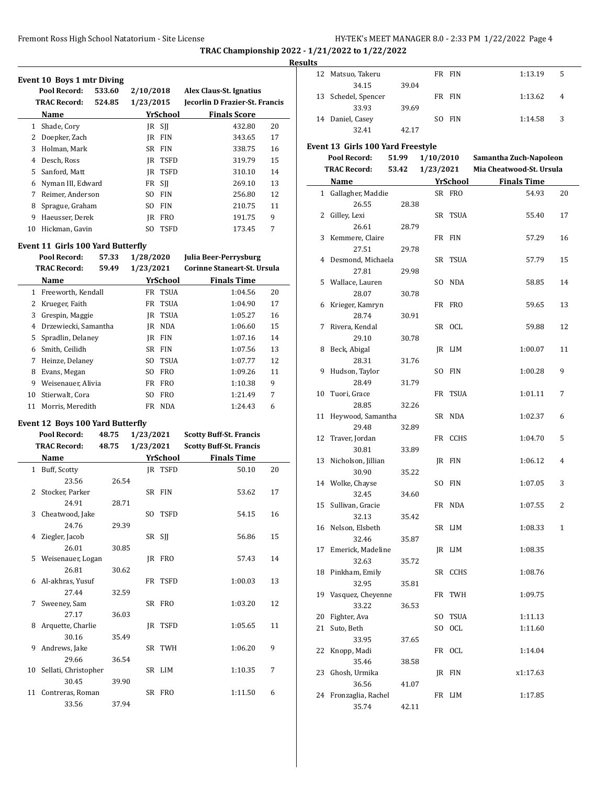#### **Results**

 $\frac{1}{2}$ 

|                | Event 10 Boys 1 mtr Diving<br>Pool Record: | 533.60 | 2/10/2018 |                 | Alex Claus-St. Ignatius        |    |
|----------------|--------------------------------------------|--------|-----------|-----------------|--------------------------------|----|
|                | <b>TRAC Record:</b>                        | 524.85 | 1/23/2015 |                 | Jecorlin D Frazier-St. Francis |    |
|                | Name                                       |        |           | YrSchool        | <b>Finals Score</b>            |    |
| $\mathbf{1}$   | Shade, Cory                                |        |           | $IR$ SII        | 432.80                         | 20 |
| 2              | Doepker, Zach                              |        | JR.       | <b>FIN</b>      | 343.65                         | 17 |
| 3              | Holman, Mark                               |        | <b>SR</b> | <b>FIN</b>      | 338.75                         | 16 |
| $\overline{4}$ | Desch, Ross                                |        | IR        | <b>TSFD</b>     | 319.79                         | 15 |
| 5              | Sanford, Matt                              |        | <b>JR</b> | <b>TSFD</b>     | 310.10                         | 14 |
| 6              | Nyman III, Edward                          |        | FR        | SJJ             | 269.10                         | 13 |
| 7              | Reimer, Anderson                           |        | SO.       | <b>FIN</b>      | 256.80                         | 12 |
| 8              | Sprague, Graham                            |        | SO.       | <b>FIN</b>      | 210.75                         | 11 |
| 9              | Haeusser, Derek                            |        | <b>IR</b> | <b>FRO</b>      | 191.75                         | 9  |
| 10             | Hickman, Gavin                             |        | SO.       | <b>TSFD</b>     | 173.45                         | 7  |
|                | Event 11 Girls 100 Yard Butterfly          |        |           |                 |                                |    |
|                | Pool Record:                               | 57.33  | 1/28/2020 |                 | Julia Beer-Perrysburg          |    |
|                | <b>TRAC Record:</b>                        | 59.49  | 1/23/2021 |                 | Corinne Staneart-St. Ursula    |    |
|                | Name                                       |        |           | <b>YrSchool</b> | <b>Finals Time</b>             |    |
| $\mathbf{1}$   | Freeworth, Kendall                         |        | FR        | <b>TSUA</b>     | 1:04.56                        | 20 |
| 2              | Krueger, Faith                             |        | FR        | <b>TSUA</b>     | 1:04.90                        | 17 |
| 3              | Grespin, Maggie                            |        | <b>JR</b> | <b>TSUA</b>     | 1:05.27                        | 16 |
| 4              | Drzewiecki, Samantha                       |        | JR.       | <b>NDA</b>      | 1:06.60                        | 15 |
| 5              | Spradlin, Delaney                          |        | <b>IR</b> | <b>FIN</b>      | 1:07.16                        | 14 |
|                | $\epsilon$ Costable Cathlen                |        |           | CD EIM          | 1.07 $\Gamma$ $\epsilon$       | 19 |

|    | <b>TRAC Record:</b><br>59.49 |  | 1/23/2021 |            | Corinne Staneart-St. Ursula |    |  |
|----|------------------------------|--|-----------|------------|-----------------------------|----|--|
|    | Name                         |  |           | YrSchool   | <b>Finals Time</b>          |    |  |
| 1  | Freeworth, Kendall           |  | FR        | TSUA       | 1:04.56                     | 20 |  |
| 2  | Krueger, Faith               |  |           | FR TSUA    | 1:04.90                     | 17 |  |
| 3  | Grespin, Maggie              |  |           | IR TSUA    | 1:05.27                     | 16 |  |
| 4  | Drzewiecki, Samantha         |  | IR        | <b>NDA</b> | 1:06.60                     | 15 |  |
| 5. | Spradlin, Delaney            |  | IR        | <b>FIN</b> | 1:07.16                     | 14 |  |
| 6  | Smith, Ceilidh               |  |           | SR FIN     | 1:07.56                     | 13 |  |
| 7  | Heinze, Delanev              |  | SO.       | TSUA       | 1:07.77                     | 12 |  |
| 8  | Evans, Megan                 |  | SO.       | <b>FRO</b> | 1:09.26                     | 11 |  |
| 9  | Weisenauer, Alivia           |  | FR        | <b>FRO</b> | 1:10.38                     | 9  |  |
| 10 | Stierwalt, Cora              |  | SO.       | <b>FRO</b> | 1:21.49                     | 7  |  |
| 11 | Morris, Meredith             |  | FR        | <b>NDA</b> | 1:24.43                     | 6  |  |

### **Event 12 Boys 100 Yard Butterfly**

|    | Pool Record:            | 48.75 | 1/23/2021 |          | <b>Scotty Buff-St. Francis</b> |    |
|----|-------------------------|-------|-----------|----------|--------------------------------|----|
|    | <b>TRAC Record:</b>     | 48.75 | 1/23/2021 |          | <b>Scotty Buff-St. Francis</b> |    |
|    | Name                    |       |           | YrSchool | <b>Finals Time</b>             |    |
|    | 1 Buff, Scotty          |       |           | IR TSFD  | 50.10                          | 20 |
|    | 23.56                   | 26.54 |           |          |                                |    |
| 2  | Stocker, Parker         |       |           | SR FIN   | 53.62                          | 17 |
|    | 24.91                   | 28.71 |           |          |                                |    |
|    | 3 Cheatwood, Jake       |       |           | SO TSFD  | 54.15                          | 16 |
|    | 24.76                   | 29.39 |           |          |                                |    |
|    | 4 Ziegler, Jacob        |       |           | SR SJJ   | 56.86                          | 15 |
|    | 26.01                   | 30.85 |           |          |                                |    |
|    | 5 Weisenauer, Logan     |       |           | IR FRO   | 57.43                          | 14 |
|    | 26.81                   | 30.62 |           |          |                                |    |
|    | 6 Al-akhras, Yusuf      |       |           | FR TSFD  | 1:00.03                        | 13 |
|    | 27.44                   | 32.59 |           |          |                                |    |
| 7  | Sweeney, Sam            |       |           | SR FRO   | 1:03.20                        | 12 |
|    | 27.17                   | 36.03 |           |          |                                |    |
| 8  | Arquette, Charlie       |       |           | IR TSFD  | 1:05.65                        | 11 |
|    | 30.16                   | 35.49 |           |          |                                |    |
| 9  | Andrews, Jake           |       |           | SR TWH   | 1:06.20                        | 9  |
|    | 29.66                   | 36.54 |           |          |                                |    |
|    | 10 Sellati, Christopher |       |           | SR LIM   | 1:10.35                        | 7  |
|    | 30.45                   | 39.90 |           |          |                                |    |
| 11 | Contreras, Roman        |       |           | SR FRO   | 1:11.50                        | 6  |
|    | 33.56                   | 37.94 |           |          |                                |    |

| 12 | Matsuo, Takeru                     |       |                 | FR FIN             | 1:13.19                  | 5              |
|----|------------------------------------|-------|-----------------|--------------------|--------------------------|----------------|
|    | 34.15                              | 39.04 |                 |                    |                          |                |
| 13 | Schedel, Spencer                   |       |                 | FR FIN             | 1:13.62                  | $\overline{4}$ |
|    | 33.93                              | 39.69 |                 |                    |                          |                |
|    | 14 Daniel, Casey                   |       |                 | SO FIN             | 1:14.58                  | 3              |
|    | 32.41                              | 42.17 |                 |                    |                          |                |
|    | Event 13  Girls 100 Yard Freestyle |       |                 |                    |                          |                |
|    | Pool Record:                       | 51.99 | 1/10/2010       |                    | Samantha Zuch-Napoleon   |                |
|    | <b>TRAC Record:</b>                |       | 53.42 1/23/2021 |                    | Mia Cheatwood-St. Ursula |                |
|    | Name                               |       |                 | YrSchool<br>SR FRO | <b>Finals Time</b>       |                |
| 1  | Gallagher, Maddie<br>26.55         | 28.38 |                 |                    | 54.93                    | 20             |
| 2  | Gilley, Lexi                       |       |                 | SR TSUA            | 55.40                    | 17             |
|    | 26.61                              | 28.79 |                 |                    |                          |                |
| 3  | Kemmere, Claire                    |       |                 | FR FIN             | 57.29                    | 16             |
|    | 27.51                              | 29.78 |                 |                    |                          |                |
| 4  | Desmond, Michaela                  |       |                 | SR TSUA            | 57.79                    | 15             |
|    | 27.81                              | 29.98 |                 |                    |                          |                |
| 5  | Wallace, Lauren                    |       |                 | SO NDA             | 58.85                    | 14             |
|    | 28.07                              | 30.78 |                 |                    |                          |                |
| 6  | Krieger, Kamryn                    |       |                 | FR FRO             | 59.65                    | 13             |
|    | 28.74                              | 30.91 |                 |                    |                          |                |
| 7  | Rivera, Kendal                     |       |                 | SR OCL             | 59.88                    | 12             |
|    | 29.10                              | 30.78 |                 |                    |                          |                |
| 8  | Beck, Abigal<br>28.31              |       |                 | IR LIM             | 1:00.07                  | 11             |
| 9  | Hudson, Taylor                     | 31.76 |                 | SO FIN             | 1:00.28                  | 9              |
|    | 28.49                              | 31.79 |                 |                    |                          |                |
| 10 | Tuori, Grace                       |       |                 | FR TSUA            | 1:01.11                  | 7              |
|    | 28.85                              | 32.26 |                 |                    |                          |                |
| 11 | Heywood, Samantha                  |       |                 | SR NDA             | 1:02.37                  | 6              |
|    | 29.48                              | 32.89 |                 |                    |                          |                |
| 12 | Traver, Jordan                     |       |                 | FR CCHS            | 1:04.70                  | 5              |
|    | 30.81                              | 33.89 |                 |                    |                          |                |
| 13 | Nicholson, Jillian                 |       |                 | JR FIN             | 1:06.12                  | 4              |
|    | 30.90                              | 35.22 |                 |                    |                          |                |
|    | 14 Wolke, Chayse<br>32.45          | 34.60 |                 | SO FIN             | 1:07.05                  | 3              |
| 15 | Sullivan, Gracie                   |       |                 | FR NDA             | 1:07.55                  | 2              |
|    | 32.13                              | 35.42 |                 |                    |                          |                |
|    | 16 Nelson, Elsbeth                 |       |                 | SR LIM             | 1:08.33                  | $\mathbf{1}$   |
|    | 32.46                              | 35.87 |                 |                    |                          |                |
| 17 | Emerick, Madeline                  |       |                 | JR LIM             | 1:08.35                  |                |
|    | 32.63                              | 35.72 |                 |                    |                          |                |
| 18 | Pinkham, Emily                     |       |                 | SR CCHS            | 1:08.76                  |                |
|    | 32.95                              | 35.81 |                 |                    |                          |                |
| 19 | Vasquez, Cheyenne                  |       |                 | FR TWH             | 1:09.75                  |                |
|    | 33.22                              | 36.53 |                 |                    |                          |                |
| 20 | Fighter, Ava                       |       |                 | SO TSUA            | 1:11.13                  |                |
| 21 | Suto, Beth                         |       |                 | SO OCL             | 1:11.60                  |                |
| 22 | 33.95<br>Knopp, Madi               | 37.65 |                 | FR OCL             | 1:14.04                  |                |
|    | 35.46                              | 38.58 |                 |                    |                          |                |
| 23 | Ghosh, Urmika                      |       |                 | JR FIN             | x1:17.63                 |                |
|    | 36.56                              | 41.07 |                 |                    |                          |                |
| 24 | Fronzaglia, Rachel                 |       |                 | FR LIM             | 1:17.85                  |                |
|    | 35.74                              | 42.11 |                 |                    |                          |                |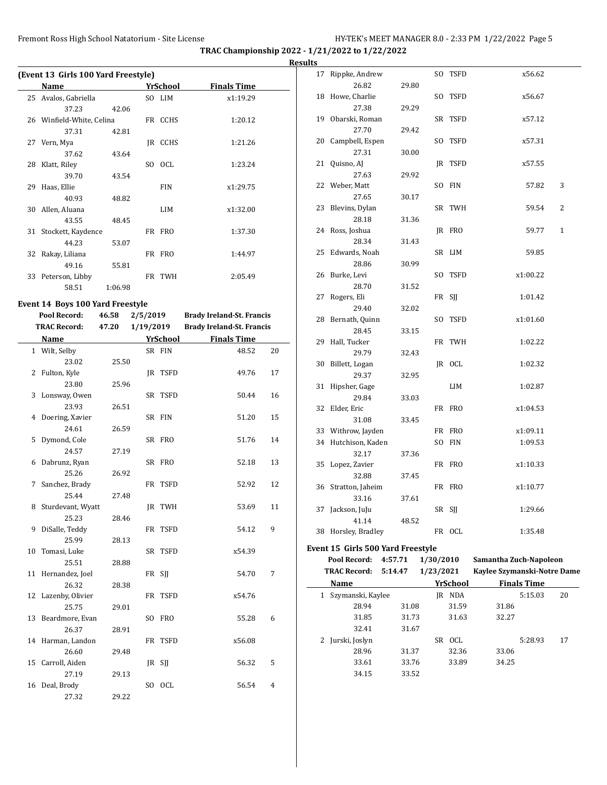$\overline{a}$ 

**TRAC Championship 2022 - 1/21/2022 to 1/22/2022**

**Results**

|    | (Event 13 Girls 100 Yard Freestyle) |         |     |            |                    |
|----|-------------------------------------|---------|-----|------------|--------------------|
|    | Name                                |         |     | YrSchool   | <b>Finals Time</b> |
|    | 25 Avalos, Gabriella                |         |     | SO LIM     | x1:19.29           |
|    | 37.23                               | 42.06   |     |            |                    |
|    | 26 Winfield-White, Celina           |         |     | FR CCHS    | 1:20.12            |
|    | 37.31                               | 42.81   |     |            |                    |
|    | 27 Vern, Mya                        |         |     | IR CCHS    | 1:21.26            |
|    | 37.62                               | 43.64   |     |            |                    |
|    | 28 Klatt, Riley                     |         | SO. | - OCL      | 1:23.24            |
|    | 39.70                               | 43.54   |     |            |                    |
| 29 | Haas, Ellie                         |         |     | <b>FIN</b> | x1:29.75           |
|    | 40.93                               | 48.82   |     |            |                    |
| 30 | Allen, Aluana                       |         |     | LIM        | x1:32.00           |
|    | 43.55                               | 48.45   |     |            |                    |
|    | 31 Stockett, Kaydence               |         |     | FR FRO     | 1:37.30            |
|    | 44.23                               | 53.07   |     |            |                    |
|    | 32 Rakay, Liliana                   |         |     | FR FRO     | 1:44.97            |
|    | 49.16                               | 55.81   |     |            |                    |
| 33 | Peterson, Libby                     |         |     | FR TWH     | 2:05.49            |
|    | 58.51                               | 1:06.98 |     |            |                    |

# **Event 14 Boys 100 Yard Freestyle**<br>Pool Record: 46.58 2/5/20

| Pool Record: |                     | 46.58 | 2/5/2019  |          | <b>Brady Ireland-St. Francis</b> |                |
|--------------|---------------------|-------|-----------|----------|----------------------------------|----------------|
|              | <b>TRAC Record:</b> | 47.20 | 1/19/2019 |          | <b>Brady Ireland-St. Francis</b> |                |
|              | Name                |       |           | YrSchool | <b>Finals Time</b>               |                |
|              | 1 Wilt, Selby       |       |           | SR FIN   | 48.52                            | 20             |
|              | 23.02               | 25.50 |           |          |                                  |                |
|              | 2 Fulton, Kyle      |       |           | IR TSFD  | 49.76                            | 17             |
|              | 23.80               | 25.96 |           |          |                                  |                |
|              | 3 Lonsway, Owen     |       |           | SR TSFD  | 50.44                            | 16             |
|              | 23.93               | 26.51 |           |          |                                  |                |
| 4            | Doering, Xavier     |       |           | SR FIN   | 51.20                            | 15             |
|              | 24.61               | 26.59 |           |          |                                  |                |
| 5            | Dymond, Cole        |       |           | SR FRO   | 51.76                            | 14             |
|              | 24.57               | 27.19 |           |          |                                  |                |
| 6            | Dabrunz, Ryan       |       |           | SR FRO   | 52.18                            | 13             |
|              | 25.26               | 26.92 |           |          |                                  |                |
| 7            | Sanchez, Brady      |       |           | FR TSFD  | 52.92                            | 12             |
|              | 25.44               | 27.48 |           |          |                                  |                |
| 8            | Sturdevant, Wyatt   |       |           | JR TWH   | 53.69                            | 11             |
|              | 25.23               | 28.46 |           |          |                                  |                |
| 9            | DiSalle, Teddy      |       |           | FR TSFD  | 54.12                            | 9              |
|              | 25.99               | 28.13 |           |          |                                  |                |
| 10           | Tomasi, Luke        |       |           | SR TSFD  | x54.39                           |                |
|              | 25.51               | 28.88 |           |          |                                  |                |
|              | 11 Hernandez, Joel  |       |           | FR SJJ   | 54.70                            | 7              |
|              | 26.32               | 28.38 |           |          |                                  |                |
|              | 12 Lazenby, Olivier |       |           | FR TSFD  | x54.76                           |                |
|              | 25.75               | 29.01 |           |          |                                  |                |
|              | 13 Beardmore, Evan  |       |           | SO FRO   | 55.28                            | 6              |
|              | 26.37               | 28.91 |           |          |                                  |                |
|              | 14 Harman, Landon   |       |           | FR TSFD  | x56.08                           |                |
|              | 26.60               | 29.48 |           |          |                                  |                |
|              | 15 Carroll, Aiden   |       |           | JR SJJ   | 56.32                            | 5              |
|              | 27.19               | 29.13 |           |          |                                  |                |
| 16           | Deal, Brody         |       |           | SO OCL   | 56.54                            | $\overline{4}$ |
|              | 27.32               | 29.22 |           |          |                                  |                |

| սււթ         |                                   |         |           |                 |                             |              |
|--------------|-----------------------------------|---------|-----------|-----------------|-----------------------------|--------------|
| 17           | Rippke, Andrew                    |         | SO        | TSFD            | x56.62                      |              |
|              | 26.82                             | 29.80   |           |                 |                             |              |
| 18           | Howe, Charlie                     |         | SO.       | TSFD            | x56.67                      |              |
|              | 27.38                             | 29.29   |           |                 |                             |              |
| 19           | Obarski, Roman                    |         |           | SR TSFD         | x57.12                      |              |
|              | 27.70                             | 29.42   |           |                 |                             |              |
| 20           | Campbell, Espen                   |         | SO.       | TSFD            | x57.31                      |              |
|              | 27.31                             | 30.00   |           |                 |                             |              |
|              | 21 Quisno, AJ                     |         | JR        | TSFD            | x57.55                      |              |
|              | 27.63                             | 29.92   |           |                 |                             |              |
|              | 22 Weber, Matt                    |         | SO.       | <b>FIN</b>      | 57.82                       | 3            |
|              | 27.65                             | 30.17   |           |                 |                             |              |
|              | 23 Blevins, Dylan                 |         |           | SR TWH          | 59.54                       | 2            |
|              | 28.18                             | 31.36   |           |                 |                             |              |
|              | 24 Ross, Joshua                   |         |           | JR FRO          | 59.77                       | $\mathbf{1}$ |
|              | 28.34                             | 31.43   |           |                 |                             |              |
| 25           | Edwards, Noah                     |         |           | SR LIM          | 59.85                       |              |
|              | 28.86                             | 30.99   |           |                 |                             |              |
| 26           | Burke, Levi                       |         | SO        | TSFD            | x1:00.22                    |              |
|              | 28.70                             | 31.52   |           |                 |                             |              |
| 27           | Rogers, Eli                       |         |           | FR SJJ          | 1:01.42                     |              |
|              | 29.40                             | 32.02   |           |                 |                             |              |
| 28           | Bernath, Quinn                    |         | SO.       | TSFD            | x1:01.60                    |              |
|              | 28.45                             | 33.15   |           |                 |                             |              |
| 29           | Hall, Tucker                      |         |           | FR TWH          | 1:02.22                     |              |
|              | 29.79                             | 32.43   |           |                 |                             |              |
| 30           | Billett, Logan<br>29.37           | 32.95   |           | JR OCL          | 1:02.32                     |              |
| 31           | Hipsher, Gage                     |         |           | LIM             | 1:02.87                     |              |
|              | 29.84                             | 33.03   |           |                 |                             |              |
| 32           | Elder, Eric                       |         |           | FR FRO          | x1:04.53                    |              |
|              | 31.08                             | 33.45   |           |                 |                             |              |
|              | 33 Withrow, Jayden                |         |           | FR FRO          | x1:09.11                    |              |
|              | 34 Hutchison, Kaden               |         |           | SO FIN          | 1:09.53                     |              |
|              | 32.17                             | 37.36   |           |                 |                             |              |
|              | 35 Lopez, Zavier                  |         |           | FR FRO          | x1:10.33                    |              |
|              | 32.88                             | 37.45   |           |                 |                             |              |
|              | 36 Stratton, Jaheim               |         |           | FR FRO          | x1:10.77                    |              |
|              | 33.16                             | 37.61   |           |                 |                             |              |
|              | 37 Jackson, JuJu                  |         |           | SR SJJ          | 1:29.66                     |              |
|              | 41.14                             | 48.52   |           |                 |                             |              |
|              | 38 Horsley, Bradley               |         |           | FR OCL          | 1:35.48                     |              |
|              | Event 15 Girls 500 Yard Freestyle |         |           |                 |                             |              |
|              | Pool Record:                      | 4:57.71 | 1/30/2010 |                 | Samantha Zuch-Napoleon      |              |
|              | <b>TRAC Record:</b>               | 5:14.47 | 1/23/2021 |                 | Kaylee Szymanski-Notre Dame |              |
|              | Name                              |         |           | <b>YrSchool</b> | <b>Finals Time</b>          |              |
| $\mathbf{1}$ | Szymanski, Kaylee                 |         |           | JR NDA          | 5:15.03                     | 20           |
|              | 28.94                             | 31.08   |           | 31.59           | 31.86                       |              |
|              | 31.85                             | 31.73   |           | 31.63           | 32.27                       |              |
|              | 32.41                             | 31.67   |           |                 |                             |              |
|              | 2 Jurski, Joslyn                  |         |           | SR OCL          | 5:28.93                     | 17           |
|              | 28.96                             | 31.37   |           | 32.36           | 33.06                       |              |
|              | 33.61                             | 33.76   |           | 33.89           | 34.25                       |              |
|              | 34.15                             | 33.52   |           |                 |                             |              |
|              |                                   |         |           |                 |                             |              |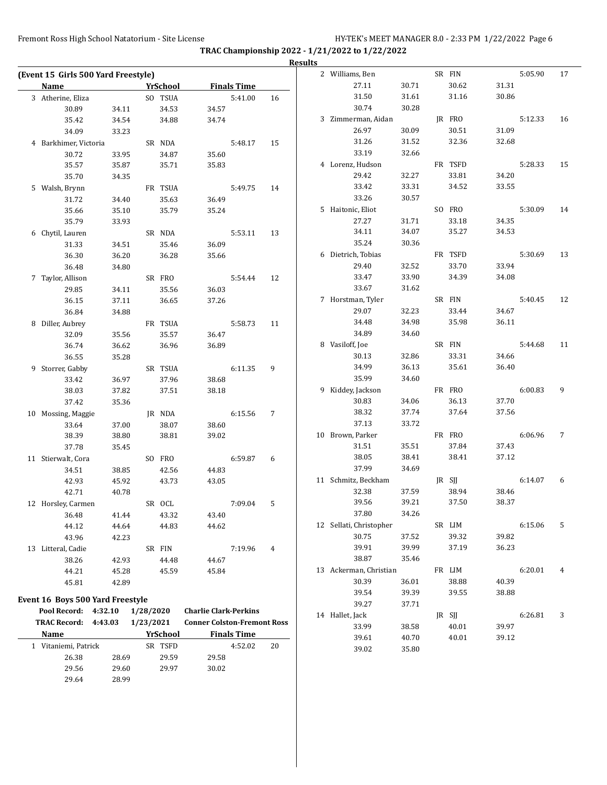29.64 28.99

Fremont Ross High School Natatorium - Site License HY-TEK's MEET MANAGER 8.0 - 2:33 PM 1/22/2022 Page 6

**TRAC Championship 2022 - 1/21/2022 to 1/22/2022**

|                                         |       |                 |                                    |                    |    | <b>Results</b> |                          |       |                 |       |         |    |
|-----------------------------------------|-------|-----------------|------------------------------------|--------------------|----|----------------|--------------------------|-------|-----------------|-------|---------|----|
| (Event 15 Girls 500 Yard Freestyle)     |       |                 |                                    |                    |    |                | 2 Williams, Ben          |       | SR FIN          |       | 5:05.90 | 17 |
| <b>Name</b>                             |       | YrSchool        |                                    | <b>Finals Time</b> |    |                | 27.11                    | 30.71 | 30.62           | 31.31 |         |    |
| 3 Atherine, Eliza                       |       | SO TSUA         |                                    | 5:41.00            | 16 |                | 31.50                    | 31.61 | 31.16           | 30.86 |         |    |
| 30.89                                   | 34.11 | 34.53           | 34.57                              |                    |    |                | 30.74                    | 30.28 |                 |       |         |    |
| 35.42                                   | 34.54 | 34.88           | 34.74                              |                    |    |                | 3 Zimmerman, Aidan       |       | IR FRO          |       | 5:12.33 | 16 |
| 34.09                                   | 33.23 |                 |                                    |                    |    |                | 26.97                    | 30.09 | 30.51           | 31.09 |         |    |
| 4 Barkhimer, Victoria                   |       | SR NDA          |                                    | 5:48.17            | 15 |                | 31.26                    | 31.52 | 32.36           | 32.68 |         |    |
| 30.72                                   | 33.95 | 34.87           | 35.60                              |                    |    |                | 33.19                    | 32.66 |                 |       |         |    |
| 35.57                                   | 35.87 | 35.71           | 35.83                              |                    |    |                | 4 Lorenz, Hudson         |       | FR TSFD         |       | 5:28.33 | 15 |
| 35.70                                   | 34.35 |                 |                                    |                    |    |                | 29.42                    | 32.27 | 33.81           | 34.20 |         |    |
| 5 Walsh, Brynn                          |       | FR TSUA         |                                    | 5:49.75            | 14 |                | 33.42                    | 33.31 | 34.52           | 33.55 |         |    |
| 31.72                                   | 34.40 | 35.63           | 36.49                              |                    |    |                | 33.26                    | 30.57 |                 |       |         |    |
| 35.66                                   | 35.10 | 35.79           | 35.24                              |                    |    |                | 5 Haitonic, Eliot        |       | SO FRO          |       | 5:30.09 | 14 |
| 35.79                                   | 33.93 |                 |                                    |                    |    |                | 27.27                    | 31.71 | 33.18           | 34.35 |         |    |
| 6 Chytil, Lauren                        |       | SR NDA          |                                    | 5:53.11            | 13 |                | 34.11                    | 34.07 | 35.27           | 34.53 |         |    |
| 31.33                                   | 34.51 | 35.46           | 36.09                              |                    |    |                | 35.24                    | 30.36 |                 |       |         |    |
| 36.30                                   | 36.20 | 36.28           | 35.66                              |                    |    |                | 6 Dietrich, Tobias       |       | FR TSFD         |       | 5:30.69 | 13 |
| 36.48                                   | 34.80 |                 |                                    |                    |    |                | 29.40                    | 32.52 | 33.70           | 33.94 |         |    |
| 7 Taylor, Allison                       |       | SR FRO          |                                    | 5:54.44            | 12 |                | 33.47                    | 33.90 | 34.39           | 34.08 |         |    |
| 29.85                                   | 34.11 | 35.56           | 36.03                              |                    |    |                | 33.67                    | 31.62 |                 |       |         |    |
| 36.15                                   | 37.11 | 36.65           | 37.26                              |                    |    |                | 7 Horstman, Tyler        |       | SR FIN          |       | 5:40.45 | 12 |
| 36.84                                   | 34.88 |                 |                                    |                    |    |                | 29.07                    | 32.23 | 33.44           | 34.67 |         |    |
| 8 Diller, Aubrey                        |       | FR TSUA         |                                    | 5:58.73            | 11 |                | 34.48                    | 34.98 | 35.98           | 36.11 |         |    |
| 32.09                                   | 35.56 | 35.57           | 36.47                              |                    |    |                | 34.89                    | 34.60 |                 |       |         |    |
| 36.74                                   | 36.62 | 36.96           | 36.89                              |                    |    |                | 8 Vasiloff, Joe          |       | SR FIN          |       | 5:44.68 | 11 |
| 36.55                                   | 35.28 |                 |                                    |                    |    |                | 30.13                    | 32.86 | 33.31           | 34.66 |         |    |
| 9 Storrer, Gabby                        |       | SR TSUA         |                                    | 6:11.35            | 9  |                | 34.99                    | 36.13 | 35.61           | 36.40 |         |    |
| 33.42                                   | 36.97 | 37.96           | 38.68                              |                    |    |                | 35.99                    | 34.60 |                 |       |         |    |
| 38.03                                   | 37.82 | 37.51           | 38.18                              |                    |    |                | 9 Kiddey, Jackson        |       | FR FRO          |       | 6:00.83 | 9  |
| 37.42                                   | 35.36 |                 |                                    |                    |    |                | 30.83                    | 34.06 | 36.13           | 37.70 |         |    |
| 10 Mossing, Maggie                      |       | JR NDA          |                                    | 6:15.56            | 7  |                | 38.32                    | 37.74 | 37.64           | 37.56 |         |    |
| 33.64                                   | 37.00 | 38.07           | 38.60                              |                    |    |                | 37.13                    | 33.72 |                 |       |         |    |
| 38.39                                   | 38.80 | 38.81           | 39.02                              |                    |    |                | 10 Brown, Parker         |       | FR FRO          |       | 6:06.96 | 7  |
| 37.78                                   | 35.45 |                 |                                    |                    |    |                | 31.51                    | 35.51 | 37.84           | 37.43 |         |    |
| 11 Stierwalt, Cora                      |       | SO FRO          |                                    | 6:59.87            | 6  |                | 38.05                    | 38.41 | 38.41           | 37.12 |         |    |
| 34.51                                   | 38.85 | 42.56           | 44.83                              |                    |    |                | 37.99                    | 34.69 |                 |       |         |    |
| 42.93                                   | 45.92 | 43.73           | 43.05                              |                    |    |                | 11 Schmitz, Beckham      |       | JR SJJ          |       | 6:14.07 | 6  |
| 42.71                                   | 40.78 |                 |                                    |                    |    |                | 32.38                    | 37.59 | 38.94           | 38.46 |         |    |
| 12 Horsley, Carmen                      |       | SR OCL          |                                    | 7:09.04            | 5  |                | 39.56                    | 39.21 | 37.50           | 38.37 |         |    |
| 36.48                                   | 41.44 | 43.32           | 43.40                              |                    |    |                | 37.80                    | 34.26 |                 |       |         |    |
| 44.12                                   | 44.64 | 44.83           | 44.62                              |                    |    |                | 12 Sellati, Christopher  |       | SR LIM          |       | 6:15.06 | 5  |
| 43.96                                   | 42.23 |                 |                                    |                    |    |                | 30.75                    | 37.52 | 39.32           | 39.82 |         |    |
| 13 Litteral, Cadie                      |       | SR FIN          |                                    | 7:19.96            | 4  |                | 39.91                    | 39.99 | 37.19           | 36.23 |         |    |
| 38.26                                   | 42.93 | 44.48           | 44.67                              |                    |    |                | 38.87                    | 35.46 |                 |       |         |    |
| 44.21                                   | 45.28 | 45.59           | 45.84                              |                    |    |                | 13 Ackerman, Christian   |       | FR LIM          |       | 6:20.01 | 4  |
| 45.81                                   | 42.89 |                 |                                    |                    |    |                | 30.39                    | 36.01 | 38.88           | 40.39 |         |    |
| <b>Event 16 Boys 500 Yard Freestyle</b> |       |                 |                                    |                    |    |                | 39.54                    | 39.39 | 39.55           | 38.88 |         |    |
| Pool Record: 4:32.10                    |       | 1/28/2020       | <b>Charlie Clark-Perkins</b>       |                    |    |                | 39.27                    | 37.71 |                 |       |         |    |
| <b>TRAC Record: 4:43.03</b>             |       | 1/23/2021       | <b>Conner Colston-Fremont Ross</b> |                    |    |                | 14 Hallet, Jack<br>33.99 | 38.58 | JR SJJ<br>40.01 | 39.97 | 6:26.81 | 3  |
| Name                                    |       | <b>YrSchool</b> |                                    | <b>Finals Time</b> |    |                | 39.61                    | 40.70 | 40.01           | 39.12 |         |    |
| 1 Vitaniemi, Patrick                    |       | SR TSFD         |                                    | 4:52.02            | 20 |                | 39.02                    | 35.80 |                 |       |         |    |
| 26.38                                   | 28.69 | 29.59           | 29.58                              |                    |    |                |                          |       |                 |       |         |    |
| 29.56                                   | 29.60 | 29.97           | 30.02                              |                    |    |                |                          |       |                 |       |         |    |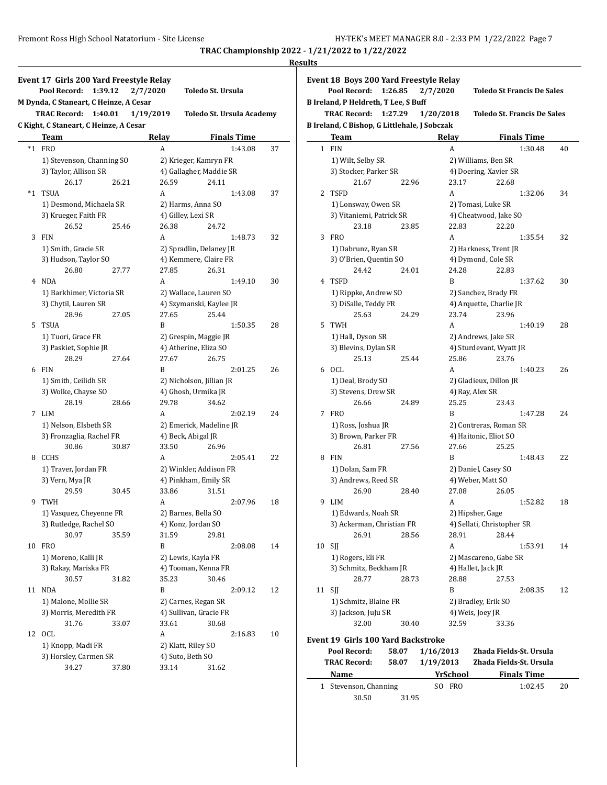# **Results**

 $\overline{a}$ 

|       | Event 17 Girls 200 Yard Freestyle Relay<br>Pool Record:<br>1:39.12 | 2/7/2020  | Toledo St. Ursula         |    |
|-------|--------------------------------------------------------------------|-----------|---------------------------|----|
|       | M Dynda, C Staneart, C Heinze, A Cesar                             |           |                           |    |
|       | <b>TRAC Record:</b><br>1:40.01                                     | 1/19/2019 | Toledo St. Ursula Academy |    |
|       | C Kight, C Staneart, C Heinze, A Cesar                             |           |                           |    |
|       | Team                                                               | Relay     | <b>Finals Time</b>        |    |
| $^*1$ | <b>FRO</b>                                                         | A         | 1:43.08                   | 37 |
|       | 1) Stevenson, Channing SO                                          |           | 2) Krieger, Kamryn FR     |    |
|       | 3) Taylor, Allison SR                                              |           | 4) Gallagher, Maddie SR   |    |
|       | 26.17<br>26.21                                                     | 26.59     | 24.11                     |    |
| $^*1$ | <b>TSUA</b>                                                        | A         | 1:43.08                   | 37 |
|       | 1) Desmond, Michaela SR                                            |           | 2) Harms, Anna SO         |    |
|       | 3) Krueger, Faith FR                                               |           | 4) Gilley, Lexi SR        |    |
|       | 26.52<br>25.46                                                     | 26.38     | 24.72                     |    |
| 3     | <b>FIN</b>                                                         | A         | 1:48.73                   | 32 |
|       | 1) Smith, Gracie SR                                                |           | 2) Spradlin, Delaney JR   |    |
|       | 3) Hudson, Taylor SO                                               |           | 4) Kemmere, Claire FR     |    |
|       | 26.80<br>27.77                                                     | 27.85     | 26.31                     |    |
| 4     | <b>NDA</b>                                                         | A         | 1:49.10                   | 30 |
|       | 1) Barkhimer, Victoria SR                                          |           | 2) Wallace, Lauren SO     |    |
|       | 3) Chytil, Lauren SR                                               |           | 4) Szymanski, Kaylee JR   |    |
|       | 28.96<br>27.05                                                     | 27.65     | 25.44                     |    |
| 5     | <b>TSUA</b>                                                        | B         | 1:50.35                   | 28 |
|       | 1) Tuori, Grace FR                                                 |           | 2) Grespin, Maggie JR     |    |
|       | 3) Paskiet, Sophie JR                                              |           | 4) Atherine, Eliza SO     |    |
|       | 28.29<br>27.64                                                     | 27.67     | 26.75                     |    |
| 6     | <b>FIN</b>                                                         | B         | 2:01.25                   | 26 |
|       | 1) Smith, Ceilidh SR                                               |           | 2) Nicholson, Jillian JR  |    |
|       | 3) Wolke, Chayse SO                                                |           | 4) Ghosh, Urmika JR       |    |
|       | 28.19<br>28.66                                                     | 29.78     | 34.62                     |    |
| 7     | <b>LIM</b>                                                         | A         | 2:02.19                   | 24 |
|       | 1) Nelson, Elsbeth SR                                              |           | 2) Emerick, Madeline JR   |    |
|       | 3) Fronzaglia, Rachel FR                                           |           | 4) Beck, Abigal JR        |    |
|       | 30.86<br>30.87                                                     | 33.50     | 26.96                     |    |
| 8     | CCHS                                                               | А         | 2:05.41                   | 22 |
|       | 1) Traver, Jordan FR                                               |           | 2) Winkler, Addison FR    |    |
|       | 3) Vern, Mya JR                                                    |           | 4) Pinkham, Emily SR      |    |
|       | 29.59<br>30.45                                                     | 33.86     | 31.51                     |    |
| 9     | TWH                                                                | A         | 2:07.96                   | 18 |
|       | 1) Vasquez, Cheyenne FR                                            |           | 2) Barnes, Bella SO       |    |
|       | 3) Rutledge, Rachel SO                                             |           | 4) Konz, Jordan SO        |    |
|       | 30.97<br>35.59                                                     | 31.59     | 29.81                     |    |
| 10    | <b>FRO</b>                                                         | B         | 2:08.08                   | 14 |
|       | 1) Moreno, Kalli JR                                                |           | 2) Lewis, Kayla FR        |    |
|       | 3) Rakay, Mariska FR                                               |           | 4) Tooman, Kenna FR       |    |
|       | 30.57<br>31.82                                                     | 35.23     | 30.46                     |    |
| 11    | <b>NDA</b>                                                         | B         | 2:09.12                   | 12 |
|       | 1) Malone, Mollie SR                                               |           | 2) Carnes, Regan SR       |    |
|       | 3) Morris, Meredith FR                                             |           | 4) Sullivan, Gracie FR    |    |
|       | 31.76<br>33.07                                                     | 33.61     | 30.68                     |    |
| 12    | <b>OCL</b>                                                         | А         | 2:16.83                   | 10 |
|       | 1) Knopp, Madi FR                                                  |           | 2) Klatt, Riley SO        |    |
|       | 3) Horsley, Carmen SR                                              |           | 4) Suto, Beth SO          |    |
|       | 34.27<br>37.80                                                     | 33.14     | 31.62                     |    |
|       |                                                                    |           |                           |    |

|              | Event 18 Boys 200 Yard Freestyle Relay<br>Pool Record:<br>1:26.85 |                | 2/7/2020               |                       |                            | <b>Toledo St Francis De Sales</b>                  |    |  |  |
|--------------|-------------------------------------------------------------------|----------------|------------------------|-----------------------|----------------------------|----------------------------------------------------|----|--|--|
|              | <b>B Ireland, P Heldreth, T Lee, S Buff</b>                       |                |                        |                       |                            |                                                    |    |  |  |
|              | <b>TRAC Record:</b><br>1:27.29                                    |                | 1/20/2018              |                       |                            | <b>Toledo St. Francis De Sales</b>                 |    |  |  |
|              | B Ireland, C Bishop, G Littlehale, J Sobczak                      |                |                        |                       |                            |                                                    |    |  |  |
|              | Team                                                              |                | Relay                  |                       |                            | <b>Finals Time</b>                                 |    |  |  |
| $\mathbf{1}$ | <b>FIN</b>                                                        |                | A                      |                       |                            | 1:30.48                                            | 40 |  |  |
|              | 1) Wilt, Selby SR                                                 |                |                        |                       | 2) Williams, Ben SR        |                                                    |    |  |  |
|              | 3) Stocker, Parker SR                                             |                |                        |                       | 4) Doering, Xavier SR      |                                                    |    |  |  |
|              | 21.67                                                             | 22.96          |                        | 23.17                 | 22.68                      |                                                    |    |  |  |
| 2            | <b>TSFD</b>                                                       |                | A                      |                       |                            | 1:32.06                                            | 34 |  |  |
|              | 1) Lonsway, Owen SR                                               |                |                        |                       | 2) Tomasi, Luke SR         |                                                    |    |  |  |
|              | 3) Vitaniemi, Patrick SR                                          |                |                        |                       | 4) Cheatwood, Jake SO      |                                                    |    |  |  |
|              | 23.18                                                             | 23.85          |                        | 22.83                 | 22.20                      |                                                    |    |  |  |
| 3            | <b>FRO</b>                                                        |                | A                      |                       |                            | 1:35.54                                            | 32 |  |  |
|              | 1) Dabrunz, Ryan SR                                               |                |                        |                       | 2) Harkness, Trent JR      |                                                    |    |  |  |
|              | 3) O'Brien, Quentin SO                                            |                |                        |                       | 4) Dymond, Cole SR         |                                                    |    |  |  |
|              | 24.42                                                             | 24.01          |                        | 24.28                 | 22.83                      |                                                    |    |  |  |
| 4            | <b>TSFD</b>                                                       |                | B                      |                       |                            | 1:37.62                                            | 30 |  |  |
|              | 1) Rippke, Andrew SO                                              |                |                        |                       | 2) Sanchez, Brady FR       |                                                    |    |  |  |
|              | 3) DiSalle, Teddy FR                                              |                |                        |                       | 4) Arquette, Charlie JR    |                                                    |    |  |  |
|              | 25.63                                                             | 24.29          |                        | 23.74                 | 23.96                      |                                                    |    |  |  |
| 5            | <b>TWH</b>                                                        |                | A                      |                       |                            | 1:40.19                                            | 28 |  |  |
|              | 1) Hall, Dyson SR                                                 |                |                        |                       | 2) Andrews, Jake SR        |                                                    |    |  |  |
|              | 3) Blevins, Dylan SR                                              |                |                        |                       | 4) Sturdevant, Wyatt JR    |                                                    |    |  |  |
|              | 25.13                                                             | 25.44          |                        | 25.86                 | 23.76                      |                                                    |    |  |  |
|              | 6 OCL                                                             |                | A                      |                       |                            | 1:40.23                                            | 26 |  |  |
|              | 1) Deal, Brody SO                                                 |                |                        |                       | 2) Gladieux, Dillon JR     |                                                    |    |  |  |
|              | 3) Stevens, Drew SR                                               |                |                        |                       | 4) Ray, Alex SR            |                                                    |    |  |  |
|              | 26.66                                                             | 24.89          |                        | 25.25                 | 23.43                      |                                                    |    |  |  |
| 7            | <b>FRO</b>                                                        |                | B                      |                       |                            | 1:47.28                                            | 24 |  |  |
|              | 1) Ross, Joshua JR                                                |                |                        |                       | 2) Contreras, Roman SR     |                                                    |    |  |  |
|              | 3) Brown, Parker FR                                               |                |                        | 4) Haitonic, Eliot SO |                            |                                                    |    |  |  |
|              | 26.81                                                             | 27.56          |                        | 27.66                 | 25.25                      |                                                    |    |  |  |
| 8            | <b>FIN</b>                                                        |                | B                      |                       |                            | 1:48.43                                            | 22 |  |  |
|              | 1) Dolan, Sam FR                                                  |                |                        |                       | 2) Daniel, Casey SO        |                                                    |    |  |  |
|              | 3) Andrews, Reed SR                                               |                |                        |                       | 4) Weber, Matt SO          |                                                    |    |  |  |
|              | 26.90                                                             | 28.40          |                        | 27.08                 | 26.05                      |                                                    |    |  |  |
| 9            | <b>LIM</b>                                                        |                | A                      |                       |                            | 1:52.82                                            | 18 |  |  |
|              | 1) Edwards, Noah SR                                               |                |                        |                       | 2) Hipsher, Gage           |                                                    |    |  |  |
|              | 3) Ackerman, Christian FR                                         |                |                        |                       | 4) Sellati, Christopher SR |                                                    |    |  |  |
|              | 26.91                                                             | 28.56          |                        | 28.91                 | 28.44                      |                                                    |    |  |  |
| 10           | <b>SII</b>                                                        |                |                        | A                     |                            | 1:53.91                                            | 14 |  |  |
|              | 1) Rogers, Eli FR                                                 |                |                        |                       | 2) Mascareno, Gabe SR      |                                                    |    |  |  |
|              | 3) Schmitz, Beckham JR                                            |                |                        |                       | 4) Hallet, Jack JR         |                                                    |    |  |  |
|              | 28.77                                                             | 28.73          |                        | 28.88                 | 27.53                      |                                                    |    |  |  |
| 11           | SII                                                               |                | B                      |                       |                            | 2:08.35                                            | 12 |  |  |
|              | 1) Schmitz, Blaine FR                                             |                |                        |                       | 2) Bradley, Erik SO        |                                                    |    |  |  |
|              | 3) Jackson, JuJu SR                                               |                |                        | 4) Weis, Joev JR      |                            |                                                    |    |  |  |
|              | 32.00                                                             | 30.40          |                        | 32.59                 | 33.36                      |                                                    |    |  |  |
|              | Event 19  Girls 100 Yard Backstroke                               |                |                        |                       |                            |                                                    |    |  |  |
|              | Pool Record:                                                      |                |                        |                       |                            |                                                    |    |  |  |
|              | <b>TRAC Record:</b>                                               | 58.07<br>58.07 | 1/16/2013<br>1/19/2013 |                       |                            | Zhada Fields-St. Ursula<br>Zhada Fields-St. Ursula |    |  |  |
|              |                                                                   |                |                        |                       |                            |                                                    |    |  |  |

| Name                  |       |  | <b>YrSchool</b> | <b>Finals Time</b> |    |
|-----------------------|-------|--|-----------------|--------------------|----|
| 1 Stevenson, Channing |       |  | SO FRO          | 1:02.45            | 20 |
| 30.50                 | 31.95 |  |                 |                    |    |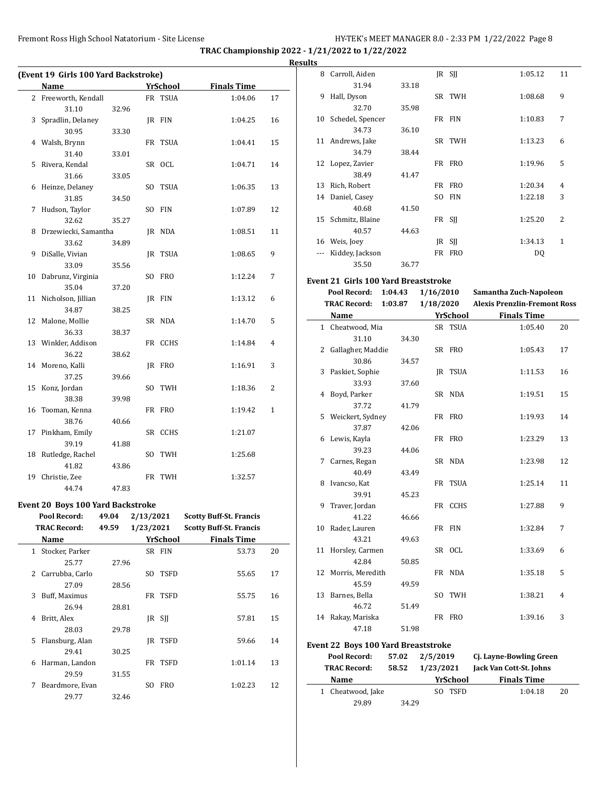|    |                                              |       |           |                |                                | Re:          |
|----|----------------------------------------------|-------|-----------|----------------|--------------------------------|--------------|
|    | (Event 19 Girls 100 Yard Backstroke)<br>Name |       |           | YrSchool       | <b>Finals Time</b>             |              |
| 2  | Freeworth, Kendall                           |       |           | FR TSUA        | 1:04.06                        | 17           |
|    | 31.10                                        | 32.96 |           |                |                                |              |
|    | 3 Spradlin, Delaney                          |       |           | JR FIN         | 1:04.25                        | 16           |
|    | 30.95                                        | 33.30 |           |                |                                |              |
|    | 4 Walsh, Brynn                               |       |           | FR TSUA        | 1:04.41                        | 15           |
|    | 31.40                                        | 33.01 |           |                |                                |              |
| 5  | Rivera, Kendal                               |       |           | SR OCL         | 1:04.71                        | 14           |
|    | 31.66                                        | 33.05 |           |                |                                |              |
|    | 6 Heinze, Delaney                            |       |           | SO TSUA        | 1:06.35                        | 13           |
|    | 31.85                                        | 34.50 |           |                |                                |              |
| 7  | Hudson, Taylor                               |       |           | SO FIN         | 1:07.89                        | 12           |
|    | 32.62                                        | 35.27 |           |                |                                |              |
| 8  | Drzewiecki, Samantha                         |       |           | JR NDA         | 1:08.51                        | 11           |
|    | 33.62                                        | 34.89 |           |                |                                |              |
| 9  | DiSalle, Vivian                              |       |           | <b>IR TSUA</b> | 1:08.65                        | 9            |
|    | 33.09                                        | 35.56 |           |                |                                |              |
|    | 10 Dabrunz, Virginia                         |       |           | SO FRO         | 1:12.24                        | 7            |
|    | 35.04                                        | 37.20 |           |                |                                |              |
| 11 | Nicholson, Jillian                           |       |           | JR FIN         | 1:13.12                        | 6            |
|    | 34.87                                        | 38.25 |           |                |                                |              |
| 12 | Malone, Mollie                               |       |           | SR NDA         | 1:14.70                        | 5            |
|    | 36.33                                        | 38.37 |           |                |                                |              |
|    | 13 Winkler, Addison                          |       |           | FR CCHS        | 1:14.84                        | 4            |
|    | 36.22                                        | 38.62 |           |                |                                |              |
|    | 14 Moreno, Kalli                             |       |           | JR FRO         | 1:16.91                        | 3            |
|    | 37.25                                        | 39.66 |           |                |                                |              |
| 15 | Konz, Jordan                                 |       |           | SO TWH         | 1:18.36                        | 2            |
|    | 38.38                                        | 39.98 |           |                |                                |              |
|    | 16 Tooman, Kenna                             |       |           | FR FRO         | 1:19.42                        | $\mathbf{1}$ |
|    | 38.76                                        | 40.66 |           |                |                                |              |
|    | 17 Pinkham, Emily                            |       |           | SR CCHS        | 1:21.07                        |              |
|    | 39.19                                        | 41.88 |           |                |                                |              |
|    | 18 Rutledge, Rachel                          |       |           | SO TWH         | 1:25.68                        |              |
|    | 41.82                                        | 43.86 |           |                |                                |              |
|    | 19 Christie, Zee                             |       |           | FR TWH         | 1:32.57                        |              |
|    | 44.74                                        | 47.83 |           |                |                                |              |
|    | Event 20 Boys 100 Yard Backstroke            |       |           |                |                                |              |
|    | Pool Record:                                 | 49.04 | 2/13/2021 |                | <b>Scotty Buff-St. Francis</b> |              |
|    |                                              |       |           |                |                                |              |

| I KAL Kecord: |                 | 49.59 | 1/23/2021 |             | SCOTTY BUIT-ST. Francis |    |
|---------------|-----------------|-------|-----------|-------------|-------------------------|----|
|               | Name            |       |           | YrSchool    | <b>Finals Time</b>      |    |
| $\mathbf{1}$  | Stocker, Parker |       |           | SR FIN      | 53.73                   | 20 |
|               | 25.77           | 27.96 |           |             |                         |    |
| 2             | Carrubba, Carlo |       | SO        | <b>TSFD</b> | 55.65                   | 17 |
|               | 27.09           | 28.56 |           |             |                         |    |
| 3             | Buff, Maximus   |       |           | FR TSFD     | 55.75                   | 16 |
|               | 26.94           | 28.81 |           |             |                         |    |
| 4             | Britt, Alex     |       |           | IR SII      | 57.81                   | 15 |
|               | 28.03           | 29.78 |           |             |                         |    |
| 5             | Flansburg, Alan |       | IR        | <b>TSFD</b> | 59.66                   | 14 |
|               | 29.41           | 30.25 |           |             |                         |    |
| 6             | Harman, Landon  |       |           | FR TSFD     | 1:01.14                 | 13 |
|               | 29.59           | 31.55 |           |             |                         |    |
| 7             | Beardmore, Evan |       | SO.       | <b>FRO</b>  | 1:02.23                 | 12 |
|               | 29.77           | 32.46 |           |             |                         |    |

| sults |                  |       |     |                    |         |                |
|-------|------------------|-------|-----|--------------------|---------|----------------|
| 8     | Carroll, Aiden   |       |     | $IR$ SII           | 1:05.12 | 11             |
|       | 31.94            | 33.18 |     |                    |         |                |
| 9     | Hall, Dyson      |       |     | SR TWH             | 1:08.68 | 9              |
|       | 32.70            | 35.98 |     |                    |         |                |
| 10    | Schedel, Spencer |       |     | FR FIN             | 1:10.83 | 7              |
|       | 34.73            | 36.10 |     |                    |         |                |
|       | 11 Andrews, Jake |       |     | SR TWH             | 1:13.23 | 6              |
|       | 34.79            | 38.44 |     |                    |         |                |
|       | 12 Lopez, Zavier |       |     | FR FRO             | 1:19.96 | 5              |
|       | 38.49            | 41.47 |     |                    |         |                |
| 13    | Rich, Robert     |       |     | FR FRO             | 1:20.34 | 4              |
| 14    | Daniel, Casey    |       | SO. | <b>FIN</b>         | 1:22.18 | 3              |
|       | 40.68            | 41.50 |     |                    |         |                |
| 15    | Schmitz, Blaine  |       |     | FR SII             | 1:25.20 | $\overline{2}$ |
|       | 40.57            | 44.63 |     |                    |         |                |
| 16    | Weis, Joey       |       |     | $\overline{R}$ SII | 1:34.13 | $\mathbf{1}$   |
| ---   | Kiddey, Jackson  |       |     | FR FRO             | DQ      |                |
|       | 35.50            | 36.77 |     |                    |         |                |

## **Event 21 Girls 100 Yard Breaststroke**

|    | Pool Record:                                                | 1:04.43 | 1/16/2010 |                 | Samantha Zuch-Napoleon              |                |
|----|-------------------------------------------------------------|---------|-----------|-----------------|-------------------------------------|----------------|
|    | <b>TRAC Record:</b>                                         | 1:03.87 | 1/18/2020 |                 | <b>Alexis Prenzlin-Fremont Ross</b> |                |
|    | Name                                                        |         |           | <b>YrSchool</b> | <b>Finals Time</b>                  |                |
|    | 1 Cheatwood, Mia                                            |         |           | SR TSUA         | 1:05.40                             | 20             |
|    | 31.10                                                       | 34.30   |           |                 |                                     |                |
|    | 2 Gallagher, Maddie                                         |         |           | SR FRO          | 1:05.43                             | 17             |
|    | 30.86                                                       | 34.57   |           |                 |                                     |                |
|    | 3 Paskiet, Sophie                                           |         |           | JR TSUA         | 1:11.53                             | 16             |
|    | 33.93                                                       | 37.60   |           |                 |                                     |                |
|    | 4 Boyd, Parker                                              |         |           | SR NDA          | 1:19.51                             | 15             |
|    | 37.72                                                       | 41.79   |           |                 |                                     |                |
| 5  | Weickert, Sydney                                            |         |           | FR FRO          | 1:19.93                             | 14             |
|    | 37.87                                                       | 42.06   |           |                 |                                     |                |
|    | 6 Lewis, Kayla                                              |         |           | FR FRO          | 1:23.29                             | 13             |
|    | 39.23                                                       | 44.06   |           |                 |                                     |                |
| 7  | Carnes, Regan                                               |         |           | SR NDA          | 1:23.98                             | 12             |
|    | 40.49                                                       | 43.49   |           |                 |                                     |                |
| 8  | Ivancso, Kat                                                |         |           | FR TSUA         | 1:25.14                             | 11             |
|    | 39.91                                                       | 45.23   |           |                 |                                     |                |
| 9  | Traver, Jordan                                              |         |           | FR CCHS         | 1:27.88                             | 9              |
|    | 41.22                                                       | 46.66   |           |                 |                                     |                |
| 10 | Rader, Lauren                                               |         |           | FR FIN          | 1:32.84                             | 7              |
|    | 43.21                                                       | 49.63   |           |                 |                                     |                |
|    | 11 Horsley, Carmen                                          |         |           | SR OCL          | 1:33.69                             | 6              |
|    | 42.84                                                       | 50.85   |           |                 |                                     |                |
|    | 12 Morris, Meredith                                         |         |           | FR NDA          | 1:35.18                             | 5              |
|    | 45.59                                                       | 49.59   |           |                 |                                     |                |
|    | 13 Barnes, Bella                                            |         |           | SO TWH          | 1:38.21                             | $\overline{4}$ |
|    | 46.72                                                       | 51.49   |           | FR FRO          |                                     | 3              |
|    | 14 Rakay, Mariska<br>47.18                                  |         |           |                 | 1:39.16                             |                |
|    |                                                             | 51.98   |           |                 |                                     |                |
|    | $\lambda$ $\lambda$ $\lambda$ $\lambda$ $\lambda$ $\lambda$ |         |           |                 |                                     |                |

# **Event 22 Boys 100 Yard Breaststroke**

| Pool Record:        | 57.02 | 2/5/2019    | Cj. Layne-Bowling Green |    |
|---------------------|-------|-------------|-------------------------|----|
| <b>TRAC Record:</b> | 58.52 | 1/23/2021   | Jack Van Cott-St. Johns |    |
| Name                |       | YrSchool    | <b>Finals Time</b>      |    |
| 1 Cheatwood, Jake   |       | TSFD<br>SO. | 1:04.18                 | 20 |
| 29.89               | 34.29 |             |                         |    |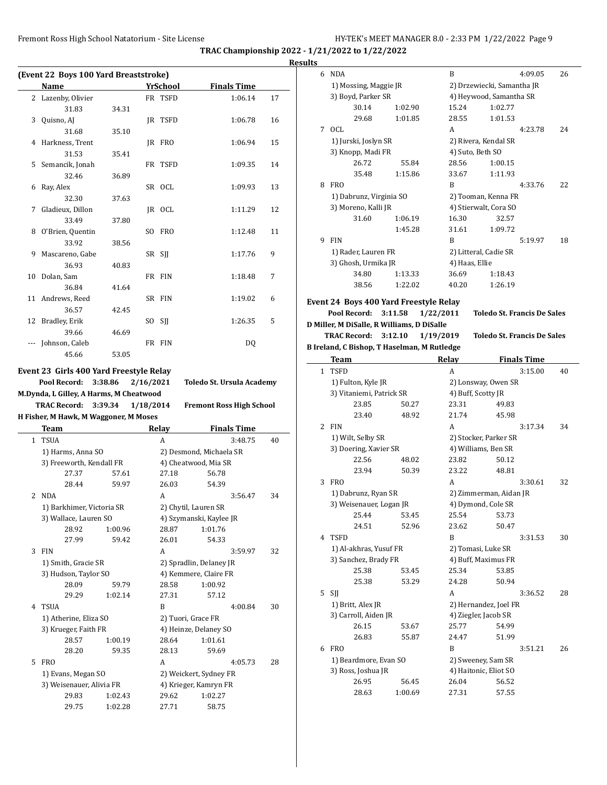| (Event 22 Boys 100 Yard Breaststroke) |                    |       |  |          |                    |    |
|---------------------------------------|--------------------|-------|--|----------|--------------------|----|
|                                       | Name               |       |  | YrSchool | <b>Finals Time</b> |    |
|                                       | 2 Lazenby, Olivier |       |  | FR TSFD  | 1:06.14            | 17 |
|                                       | 31.83              | 34.31 |  |          |                    |    |
| 3                                     | Quisno, AJ         |       |  | IR TSFD  | 1:06.78            | 16 |
|                                       | 31.68              | 35.10 |  |          |                    |    |
| 4                                     | Harkness, Trent    |       |  | IR FRO   | 1:06.94            | 15 |
|                                       | 31.53              | 35.41 |  |          |                    |    |
|                                       | 5 Semancik, Jonah  |       |  | FR TSFD  | 1:09.35            | 14 |
|                                       | 32.46              | 36.89 |  |          |                    |    |
| 6                                     | Ray, Alex          |       |  | SR OCL   | 1:09.93            | 13 |
|                                       | 32.30              | 37.63 |  |          |                    |    |
| 7                                     | Gladieux, Dillon   |       |  | IR OCL   | 1:11.29            | 12 |
|                                       | 33.49              | 37.80 |  |          |                    |    |
| 8                                     | O'Brien, Quentin   |       |  | SO FRO   | 1:12.48            | 11 |
|                                       | 33.92              | 38.56 |  |          |                    |    |
| 9                                     | Mascareno, Gabe    |       |  | SR SJJ   | 1:17.76            | 9  |
|                                       | 36.93              | 40.83 |  |          |                    |    |
|                                       | 10 Dolan, Sam      |       |  | FR FIN   | 1:18.48            | 7  |
|                                       | 36.84              | 41.64 |  |          |                    |    |
|                                       | 11 Andrews, Reed   |       |  | SR FIN   | 1:19.02            | 6  |
|                                       | 36.57              | 42.45 |  |          |                    |    |
|                                       | 12 Bradley, Erik   |       |  | SO SII   | 1:26.35            | 5  |
|                                       | 39.66              | 46.69 |  |          |                    |    |
| ---                                   | Johnson, Caleb     |       |  | FR FIN   | DO.                |    |
|                                       | 45.66              | 53.05 |  |          |                    |    |
|                                       |                    |       |  |          |                    |    |

### **Event 23 Girls 400 Yard Freestyle Relay**

**Pool Record: 3:38.86 2/16/2021 Toledo St. Ursula Academy M.Dynda, L Gilley, A Harms, M Cheatwood H** Fis

|   | <b>TRAC Record:</b>               | 3:39.34 | 1/18/2014 | <b>Fremont Ross High School</b> |    |  |  |  |  |
|---|-----------------------------------|---------|-----------|---------------------------------|----|--|--|--|--|
|   | sher, M Hawk, M Waggoner, M Moses |         |           |                                 |    |  |  |  |  |
|   | Team                              |         | Relay     | <b>Finals Time</b>              |    |  |  |  |  |
| 1 | <b>TSUA</b>                       |         | A         | 3:48.75                         | 40 |  |  |  |  |
|   | 1) Harms, Anna SO                 |         |           | 2) Desmond, Michaela SR         |    |  |  |  |  |
|   | 3) Freeworth, Kendall FR          |         |           | 4) Cheatwood, Mia SR            |    |  |  |  |  |
|   | 27.37                             | 57.61   | 27.18     | 56.78                           |    |  |  |  |  |
|   | 28.44                             | 59.97   | 26.03     | 54.39                           |    |  |  |  |  |
| 2 | <b>NDA</b>                        |         | A         | 3:56.47                         | 34 |  |  |  |  |
|   | 1) Barkhimer, Victoria SR         |         |           | 2) Chytil, Lauren SR            |    |  |  |  |  |
|   | 3) Wallace, Lauren SO             |         |           | 4) Szymanski, Kaylee JR         |    |  |  |  |  |
|   | 28.92                             | 1:00.96 | 28.87     | 1:01.76                         |    |  |  |  |  |
|   | 27.99                             | 59.42   | 26.01     | 54.33                           |    |  |  |  |  |
| 3 | <b>FIN</b>                        |         | A         | 3:59.97                         | 32 |  |  |  |  |
|   | 1) Smith, Gracie SR               |         |           | 2) Spradlin, Delaney JR         |    |  |  |  |  |
|   | 3) Hudson, Taylor SO              |         |           | 4) Kemmere, Claire FR           |    |  |  |  |  |
|   | 28.09                             | 59.79   | 28.58     | 1:00.92                         |    |  |  |  |  |
|   | 29.29                             | 1:02.14 | 27.31     | 57.12                           |    |  |  |  |  |
| 4 | <b>TSUA</b>                       |         | B         | 4:00.84                         | 30 |  |  |  |  |
|   | 1) Atherine, Eliza SO             |         |           | 2) Tuori, Grace FR              |    |  |  |  |  |
|   | 3) Krueger, Faith FR              |         |           | 4) Heinze, Delaney SO           |    |  |  |  |  |
|   | 28.57                             | 1:00.19 | 28.64     | 1:01.61                         |    |  |  |  |  |
|   | 28.20                             | 59.35   | 28.13     | 59.69                           |    |  |  |  |  |
| 5 | <b>FRO</b>                        |         | A         | 4:05.73                         | 28 |  |  |  |  |
|   | 1) Evans, Megan SO                |         |           | 2) Weickert, Sydney FR          |    |  |  |  |  |
|   | 3) Weisenauer, Alivia FR          |         |           | 4) Krieger, Kamryn FR           |    |  |  |  |  |
|   | 29.83                             | 1:02.43 | 29.62     | 1:02.27                         |    |  |  |  |  |
|   | 29.75                             | 1:02.28 | 27.71     | 58.75                           |    |  |  |  |  |
|   |                                   |         |           |                                 |    |  |  |  |  |
|   |                                   |         |           |                                 |    |  |  |  |  |

| <b>Results</b> |                     |                            |                                             |                           |                                    |    |
|----------------|---------------------|----------------------------|---------------------------------------------|---------------------------|------------------------------------|----|
|                | 6 NDA               |                            |                                             | B                         | 4:09.05                            | 26 |
|                |                     | 1) Mossing, Maggie JR      |                                             |                           | 2) Drzewiecki, Samantha JR         |    |
|                |                     | 3) Boyd, Parker SR         |                                             |                           | 4) Heywood, Samantha SR            |    |
|                |                     | 30.14                      | 1:02.90                                     | 15.24                     | 1:02.77                            |    |
|                |                     | 29.68                      | 1:01.85                                     | 28.55                     | 1:01.53                            |    |
|                | 7 OCL               |                            |                                             | A                         | 4:23.78                            | 24 |
|                |                     | 1) Jurski, Joslyn SR       |                                             |                           | 2) Rivera, Kendal SR               |    |
|                |                     |                            |                                             |                           |                                    |    |
|                |                     | 3) Knopp, Madi FR<br>26.72 |                                             | 4) Suto, Beth SO<br>28.56 |                                    |    |
|                |                     |                            | 55.84                                       |                           | 1:00.15                            |    |
|                |                     | 35.48                      | 1:15.86                                     | 33.67                     | 1:11.93                            |    |
|                | 8 FRO               |                            |                                             | B                         | 4:33.76                            | 22 |
|                |                     | 1) Dabrunz, Virginia SO    |                                             |                           | 2) Tooman, Kenna FR                |    |
|                |                     | 3) Moreno, Kalli JR        |                                             |                           | 4) Stierwalt, Cora SO              |    |
|                |                     | 31.60                      | 1:06.19                                     | 16.30                     | 32.57                              |    |
|                |                     |                            | 1:45.28                                     | 31.61                     | 1:09.72                            |    |
|                | 9 FIN               |                            |                                             | B                         | 5:19.97                            | 18 |
|                |                     | 1) Rader, Lauren FR        |                                             |                           | 2) Litteral, Cadie SR              |    |
|                |                     | 3) Ghosh, Urmika JR        |                                             | 4) Haas, Ellie            |                                    |    |
|                |                     | 34.80                      | 1:13.33                                     | 36.69                     | 1:18.43                            |    |
|                |                     | 38.56                      | 1:22.02                                     | 40.20                     | 1:26.19                            |    |
|                |                     |                            |                                             |                           |                                    |    |
|                |                     |                            | Event 24 Boys 400 Yard Freestyle Relay      |                           | <b>Toledo St. Francis De Sales</b> |    |
|                | Pool Record:        |                            | 3:11.58                                     | 1/22/2011                 |                                    |    |
|                |                     |                            | D Miller, M DiSalle, R Williams, D DiSalle  |                           |                                    |    |
|                | <b>TRAC Record:</b> |                            | 3:12.10                                     | 1/19/2019                 | <b>Toledo St. Francis De Sales</b> |    |
|                |                     |                            | B Ireland, C Bishop, T Haselman, M Rutledge |                           |                                    |    |
|                |                     |                            |                                             |                           | <b>Finals Time</b>                 |    |
|                | <b>Team</b>         |                            |                                             | Relay                     |                                    |    |
|                | 1 TSFD              |                            |                                             | A                         | 3:15.00                            | 40 |
|                |                     | 1) Fulton, Kyle JR         |                                             |                           | 2) Lonsway, Owen SR                |    |
|                |                     | 3) Vitaniemi, Patrick SR   |                                             | 4) Buff, Scotty JR        |                                    |    |
|                |                     | 23.85                      | 50.27                                       | 23.31                     | 49.83                              |    |
|                |                     | 23.40                      | 48.92                                       | 21.74                     | 45.98                              |    |
|                | 2 FIN               |                            |                                             | A                         | 3:17.34                            | 34 |
|                |                     | 1) Wilt, Selby SR          |                                             |                           | 2) Stocker, Parker SR              |    |
|                |                     | 3) Doering, Xavier SR      |                                             |                           | 4) Williams, Ben SR                |    |
|                |                     | 22.56                      | 48.02                                       | 23.82                     | 50.12                              |    |
|                |                     | 23.94                      | 50.39                                       | 23.22                     | 48.81                              |    |
|                | 3 FRO               |                            |                                             | А                         | 3:30.61                            | 32 |
|                |                     | 1) Dabrunz, Ryan SR        |                                             |                           | 2) Zimmerman, Aidan JR             |    |
|                |                     | 3) Weisenauer, Logan JR    |                                             |                           |                                    |    |
|                |                     | 25.44                      | 53.45                                       | 25.54                     | 4) Dymond, Cole SR<br>53.73        |    |
|                |                     | 24.51                      | 52.96                                       | 23.62                     | 50.47                              |    |
|                | 4 TSFD              |                            |                                             | B                         | 3:31.53                            | 30 |
|                |                     |                            |                                             |                           |                                    |    |
|                |                     | 1) Al-akhras, Yusuf FR     |                                             |                           | 2) Tomasi, Luke SR                 |    |
|                |                     | 3) Sanchez, Brady FR       |                                             |                           | 4) Buff, Maximus FR                |    |
|                |                     | 25.38                      | 53.45                                       | 25.34                     | 53.85                              |    |
|                |                     | 25.38                      | 53.29                                       | 24.28                     | 50.94                              |    |
|                | $5$ SJJ             |                            |                                             | A                         | 3:36.52                            | 28 |
|                |                     | 1) Britt, Alex JR          |                                             |                           | 2) Hernandez, Joel FR              |    |
|                |                     | 3) Carroll, Aiden JR       |                                             |                           | 4) Ziegler, Jacob SR               |    |
|                |                     | 26.15                      | 53.67                                       | 25.77                     | 54.99                              |    |
|                |                     | 26.83                      | 55.87                                       | 24.47                     | 51.99                              |    |
|                | 6 FRO               |                            |                                             | B                         | 3:51.21                            | 26 |
|                |                     | 1) Beardmore, Evan SO      |                                             |                           | 2) Sweeney, Sam SR                 |    |
|                |                     | 3) Ross, Joshua JR         |                                             |                           | 4) Haitonic, Eliot SO              |    |
|                |                     | 26.95                      | 56.45                                       | 26.04                     | 56.52                              |    |
|                |                     | 28.63                      | 1:00.69                                     | 27.31                     | 57.55                              |    |